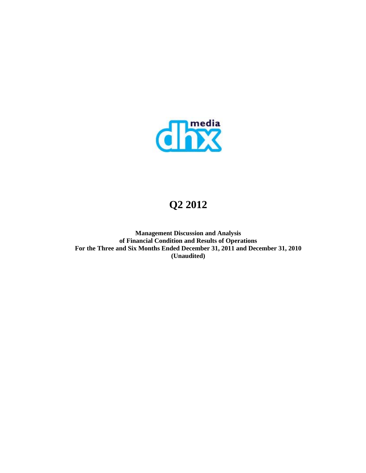

# **Q2 2012**

**Management Discussion and Analysis of Financial Condition and Results of Operations For the Three and Six Months Ended December 31, 2011 and December 31, 2010 (Unaudited)**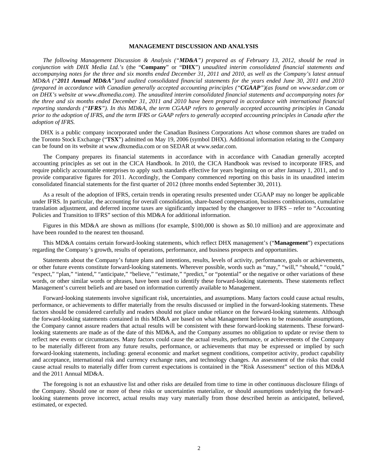# **MANAGEMENT DISCUSSION AND ANALYSIS**

*The following Management Discussion & Analysis ("MD&A") prepared as of February 13, 2012, should be read in conjunction with DHX Media Ltd.'s* (the "**Company**" or "**DHX**") *unaudited interim consolidated financial statements and accompanying notes for the three and six months ended December 31, 2011 and 2010, as well as the Company's latest annual MD&A ("2011 Annual MD&A")and audited consolidated financial statements for the years ended June 30, 2011 and 2010 (prepared in accordance with Canadian generally accepted accounting principles ("CGAAP")(as found on www.sedar.com or on DHX's website at www.dhxmedia.com). The unaudited interim consolidated financial statements and accompanying notes for the three and six months ended December 31, 2011 and 2010 have been prepared in accordance with international financial reporting standards ("IFRS"). In this MD&A, the term CGAAP refers to generally accepted accounting principles in Canada prior to the adoption of IFRS, and the term IFRS or GAAP refers to generally accepted accounting principles in Canada after the adoption of IFRS.* 

DHX is a public company incorporated under the Canadian Business Corporations Act whose common shares are traded on the Toronto Stock Exchange ("**TSX**") admitted on May 19, 2006 (symbol DHX). Additional information relating to the Company can be found on its website at www.dhxmedia.com or on SEDAR at www.sedar.com.

The Company prepares its financial statements in accordance with in accordance with Canadian generally accepted accounting principles as set out in the CICA Handbook. In 2010, the CICA Handbook was revised to incorporate IFRS, and require publicly accountable enterprises to apply such standards effective for years beginning on or after January 1, 2011, and to provide comparative figures for 2011. Accordingly, the Company commenced reporting on this basis in its unaudited interim consolidated financial statements for the first quarter of 2012 (three months ended September 30, 2011).

As a result of the adoption of IFRS, certain trends in operating results presented under CGAAP may no longer be applicable under IFRS. In particular, the accounting for overall consolidation, share-based compensation, business combinations, cumulative translation adjustment, and deferred income taxes are significantly impacted by the changeover to IFRS – refer to "Accounting Policies and Transition to IFRS" section of this MD&A for additional information.

Figures in this MD&A are shown as millions (for example, \$100,000 is shown as \$0.10 million) and are approximate and have been rounded to the nearest ten thousand.

This MD&A contains certain forward-looking statements, which reflect DHX management's ("**Management**") expectations regarding the Company's growth, results of operations, performance, and business prospects and opportunities.

Statements about the Company's future plans and intentions, results, levels of activity, performance, goals or achievements, or other future events constitute forward-looking statements. Wherever possible, words such as "may," "will," "should," "could," "expect," "plan," "intend," "anticipate," "believe," "estimate," "predict," or "potential" or the negative or other variations of these words, or other similar words or phrases, have been used to identify these forward-looking statements. These statements reflect Management's current beliefs and are based on information currently available to Management.

Forward-looking statements involve significant risk, uncertainties, and assumptions. Many factors could cause actual results, performance, or achievements to differ materially from the results discussed or implied in the forward-looking statements. These factors should be considered carefully and readers should not place undue reliance on the forward-looking statements. Although the forward-looking statements contained in this MD&A are based on what Management believes to be reasonable assumptions, the Company cannot assure readers that actual results will be consistent with these forward-looking statements. These forwardlooking statements are made as of the date of this MD&A, and the Company assumes no obligation to update or revise them to reflect new events or circumstances. Many factors could cause the actual results, performance, or achievements of the Company to be materially different from any future results, performance, or achievements that may be expressed or implied by such forward-looking statements, including: general economic and market segment conditions, competitor activity, product capability and acceptance, international risk and currency exchange rates, and technology changes. An assessment of the risks that could cause actual results to materially differ from current expectations is contained in the "Risk Assessment" section of this MD&A and the 2011 Annual MD&A.

The foregoing is not an exhaustive list and other risks are detailed from time to time in other continuous disclosure filings of the Company. Should one or more of these risks or uncertainties materialize, or should assumptions underlying the forwardlooking statements prove incorrect, actual results may vary materially from those described herein as anticipated, believed, estimated, or expected.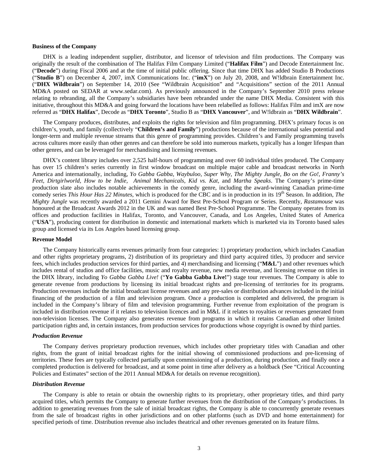#### **Business of the Company**

DHX is a leading independent supplier, distributor, and licensor of television and film productions. The Company was originally the result of the combination of The Halifax Film Company Limited ("**Halifax Film**") and Decode Entertainment Inc. ("**Decode**") during Fiscal 2006 and at the time of initial public offering. Since that time DHX has added Studio B Productions ("**Studio B**") on December 4, 2007, imX Communications Inc. ("**imX**") on July 20, 2008, and W!ldbrain Entertainment Inc. ("**DHX Wildbrain**") on September 14, 2010 (See "Wildbrain Acquisition" and "Acquisitions" section of the 2011 Annual MD&A posted on SEDAR at www.sedar.com). As previously announced in the Company's September 2010 press release relating to rebranding, all the Company's subsidiaries have been rebranded under the name DHX Media. Consistent with this initiative, throughout this MD&A and going forward the locations have been relabelled as follows: Halifax Film and imX are now referred as "**DHX Halifax**", Decode as "**DHX Toronto**", Studio B as "**DHX Vancouver**", and W!ldbrain as "**DHX Wildbrain**".

The Company produces, distributes, and exploits the rights for television and film programming. DHX's primary focus is on children's, youth, and family (collectively "**Children's and Family**") productions because of the international sales potential and longer-term and multiple revenue streams that this genre of programming provides. Children's and Family programming travels across cultures more easily than other genres and can therefore be sold into numerous markets, typically has a longer lifespan than other genres, and can be leveraged for merchandising and licensing revenues.

DHX's content library includes over 2,525 half-hours of programming and over 60 individual titles produced. The Company has over 15 children's series currently in first window broadcast on multiple major cable and broadcast networks in North America and internationally, including, *Yo Gabba Gabba, Waybuloo, Super Why, The Mighty Jungle, Bo on the Go!, Franny's Feet, Dirtgirlworld, How to be Indie, Animal Mechanicals, Kid vs. Kat,* and *Martha Speaks*. The Company's prime-time production slate also includes notable achievements in the comedy genre, including the award-winning Canadian prime-time comedy series *This Hour Has 22 Minutes*, which is produced for the CBC and is in production in its 19<sup>th</sup> Season. In addition, *The Mighty Jungle* was recently awarded a 2011 Gemini Award for Best Pre-School Program or Series. Recently, *Rastamouse* was honoured at the Broadcast Awards 2012 in the UK and was named Best Pre-School Programme. The Company operates from its offices and production facilities in Halifax, Toronto, and Vancouver, Canada, and Los Angeles, United States of America ("**USA**"), producing content for distribution in domestic and international markets which is marketed via its Toronto based sales group and licensed via its Los Angeles based licensing group.

#### **Revenue Model**

The Company historically earns revenues primarily from four categories: 1) proprietary production, which includes Canadian and other rights proprietary programs, 2) distribution of its proprietary and third party acquired titles, 3) producer and service fees, which includes production services for third parties, and 4) merchandising and licensing ("**M&L**") and other revenues which includes rental of studios and office facilities, music and royalty revenue, new media revenue, and licensing revenue on titles in the DHX library, including *Yo Gabba Gabba Live!* ("**Yo Gabba Gabba Live!**") stage tour revenues. The Company is able to generate revenue from productions by licensing its initial broadcast rights and pre-licensing of territories for its programs. Production revenues include the initial broadcast license revenues and any pre-sales or distribution advances included in the initial financing of the production of a film and television program. Once a production is completed and delivered, the program is included in the Company's library of film and television programming. Further revenue from exploitation of the program is included in distribution revenue if it relates to television licences and in M&L if it relates to royalties or revenues generated from non-television licenses. The Company also generates revenue from programs in which it retains Canadian and other limited participation rights and, in certain instances, from production services for productions whose copyright is owned by third parties.

#### *Production Revenue*

The Company derives proprietary production revenues, which includes other proprietary titles with Canadian and other rights, from the grant of initial broadcast rights for the initial showing of commissioned productions and pre-licensing of territories. These fees are typically collected partially upon commissioning of a production, during production, and finally once a completed production is delivered for broadcast, and at some point in time after delivery as a holdback (See "Critical Accounting Policies and Estimates" section of the 2011 Annual MD&A for details on revenue recognition).

#### *Distribution Revenue*

The Company is able to retain or obtain the ownership rights to its proprietary, other proprietary titles, and third party acquired titles, which permits the Company to generate further revenues from the distribution of the Company's productions. In addition to generating revenues from the sale of initial broadcast rights, the Company is able to concurrently generate revenues from the sale of broadcast rights in other jurisdictions and on other platforms (such as DVD and home entertainment) for specified periods of time. Distribution revenue also includes theatrical and other revenues generated on its feature films.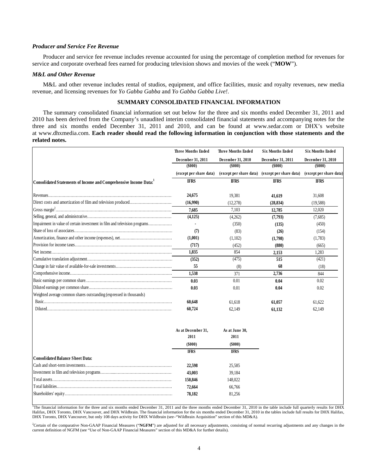# *Producer and Service Fee Revenue*

Producer and service fee revenue includes revenue accounted for using the percentage of completion method for revenues for service and corporate overhead fees earned for producing television shows and movies of the week ("**MOW**").

#### *M&L and Other Revenue*

M&L and other revenue includes rental of studios, equipment, and office facilities, music and royalty revenues, new media revenue, and licensing revenues for *Yo Gabba Gabba* and *Yo Gabba Gabba Live!*.

# **SUMMARY CONSOLIDATED FINANCIAL INFORMATION**

The summary consolidated financial information set out below for the three and six months ended December 31, 2011 and 2010 has been derived from the Company's unaudited interim consolidated financial statements and accompanying notes for the three and six months ended December 31, 2011 and 2010, and can be found at www.sedar.com or DHX's website at www.dhxmedia.com. Each reader should read the following information in conjunction with those statements and the **related notes.** 

|                                                                     | <b>Three Months Ended</b> | <b>Three Months Ended</b> | <b>Six Months Ended</b> | <b>Six Months Ended</b> |
|---------------------------------------------------------------------|---------------------------|---------------------------|-------------------------|-------------------------|
|                                                                     | December 31, 2011         | December 31, 2010         | December 31, 2011       | December 31, 2010       |
|                                                                     | ( \$000)                  | $($ \$000 $)$             | (\$000)                 | $($ \$000 $)$           |
|                                                                     | (except per share data)   | (except per share data)   | (except per share data) | (except per share data) |
| Consolidated Statements of Income and Comprehensive Income Data:    | <b>IFRS</b>               | <b>IFRS</b>               | <b>IFRS</b>             | <b>IFRS</b>             |
|                                                                     | 24,675                    | 19.381                    | 41,619                  | 31,608                  |
|                                                                     | (16,990)                  | (12,278)                  | (28, 834)               | (19,588)                |
|                                                                     | 7.685                     | 7,103                     | 12,785                  | 12,020                  |
|                                                                     | (4,125)                   | (4,262)                   | (7, 793)                | (7,685)                 |
|                                                                     |                           | (350)                     | (135)                   | (450)                   |
|                                                                     | (7)                       | (83)                      | (26)                    | (154)                   |
|                                                                     | (1.001)                   | (1,102)                   | (1.798)                 | (1,783)                 |
|                                                                     | (717)                     | (452)                     | (880)                   | (665)                   |
|                                                                     | 1,835                     | 854                       | 2,153                   | 1,283                   |
|                                                                     | (352)                     | (475)                     | 515                     | (421)                   |
|                                                                     | 55                        | (8)                       | 68                      | (18)                    |
|                                                                     | 1,538                     | 371                       | 2,736                   | 844                     |
|                                                                     | 0.03                      | 0.01                      | 0.04                    | 0.02                    |
|                                                                     | 0.03                      | 0.01                      | 0.04                    | 0.02                    |
| Weighted average common shares outstanding (expressed in thousands) |                           |                           |                         |                         |
|                                                                     | 60,648                    | 61.618                    | 61,057                  | 61.622                  |
|                                                                     | 60,724                    | 62,149                    | 61,132                  | 62,149                  |

|                                  | As at December 31,<br>2011 | As at June 30,<br>2011 |
|----------------------------------|----------------------------|------------------------|
|                                  | $($ \$000 $)$              | $($ \$000 $)$          |
|                                  | <b>IFRS</b>                | <b>IFRS</b>            |
| Consolidated Balance Sheet Data: |                            |                        |
|                                  | 22,598                     | 25.585                 |
|                                  | 43,003                     | 39.184                 |
|                                  | 150,846                    | 148,022                |
|                                  | 72,664                     | 66.766                 |
|                                  | 78.182                     | 81.256                 |

<sup>1</sup>The financial information for the three and six months ended December 31, 2011 and the three months ended December 31, 2010 in the table include full quarterly results for DHX Halifax, DHX Toronto, DHX Vancouver, and DHX Wildbrain. The financial information for the six months ended December 31, 2010 in the tables include full results for DHX Halifax, DHX Toronto, DHX Vancouver, but only 108 days activity for DHX Wildbrain (see–"Wildbrain Acquisition" section of this MD&A).

<sup>2</sup>Certain of the comparative Non-GAAP Financial Measures ("NGFM") are adjusted for all necessary adjustments, consisting of normal recurring adjustments and any changes in the current definition of NGFM (see "Use of Non-GAAP Financial Measures" section of this MD&A for further details).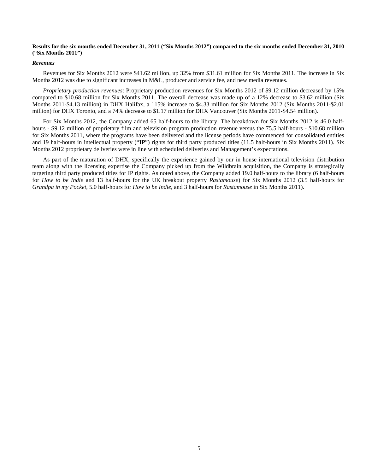# **Results for the six months ended December 31, 2011 ("Six Months 2012") compared to the six months ended December 31, 2010 ("Six Months 2011")**

#### *Revenues*

Revenues for Six Months 2012 were \$41.62 million, up 32% from \$31.61 million for Six Months 2011. The increase in Six Months 2012 was due to significant increases in M&L, producer and service fee, and new media revenues.

*Proprietary production revenues*: Proprietary production revenues for Six Months 2012 of \$9.12 million decreased by 15% compared to \$10.68 million for Six Months 2011. The overall decrease was made up of a 12% decrease to \$3.62 million (Six Months 2011-\$4.13 million) in DHX Halifax, a 115% increase to \$4.33 million for Six Months 2012 (Six Months 2011-\$2.01 million) for DHX Toronto, and a 74% decrease to \$1.17 million for DHX Vancouver (Six Months 2011-\$4.54 million).

For Six Months 2012, the Company added 65 half-hours to the library. The breakdown for Six Months 2012 is 46.0 halfhours - \$9.12 million of proprietary film and television program production revenue versus the 75.5 half-hours - \$10.68 million for Six Months 2011, where the programs have been delivered and the license periods have commenced for consolidated entities and 19 half-hours in intellectual property ("**IP**") rights for third party produced titles (11.5 half-hours in Six Months 2011). Six Months 2012 proprietary deliveries were in line with scheduled deliveries and Management's expectations.

As part of the maturation of DHX, specifically the experience gained by our in house international television distribution team along with the licensing expertise the Company picked up from the Wildbrain acquisition, the Company is strategically targeting third party produced titles for IP rights. As noted above, the Company added 19.0 half-hours to the library (6 half-hours for *How to be Indie* and 13 half-hours for the UK breakout property *Rastamouse*) for Six Months 2012 (3.5 half-hours for *Grandpa in my Pocket*, 5.0 half-hours for *How to be Indie*, and 3 half-hours for *Rastamouse* in Six Months 2011).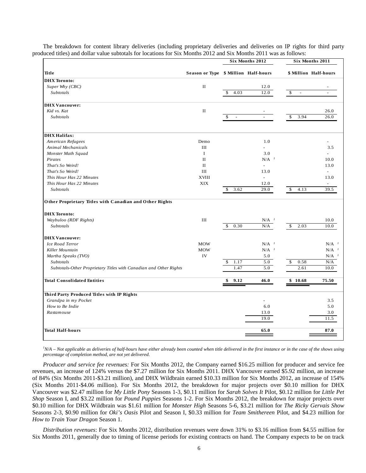|                                                                   |                                      |                      | <b>Six Months 2012</b>          | <b>Six Months 2011</b>         |                                 |  |
|-------------------------------------------------------------------|--------------------------------------|----------------------|---------------------------------|--------------------------------|---------------------------------|--|
| Title                                                             | Season or Type \$ Million Half-hours |                      |                                 | \$ Million Half-hours          |                                 |  |
| <b>DHX</b> Toronto:                                               |                                      |                      |                                 |                                |                                 |  |
| Super Why (CBC)                                                   | $\rm II$                             |                      | 12.0                            |                                |                                 |  |
| Subtotals                                                         |                                      | 4.03<br>$\mathbf{s}$ | 12.0                            | \$<br>$\overline{\phantom{a}}$ | $\sim$                          |  |
| <b>DHX</b> Vancouver:                                             |                                      |                      |                                 |                                |                                 |  |
| Kid vs. Kat                                                       | $\rm II$                             |                      |                                 |                                | 26.0                            |  |
| <b>Subtotals</b>                                                  |                                      |                      |                                 | 3.94<br>\$                     | 26.0                            |  |
| <b>DHX</b> Halifax:                                               |                                      |                      |                                 |                                |                                 |  |
| American Refugees                                                 | Demo                                 |                      | 1.0                             |                                |                                 |  |
| Animal Mechanicals                                                | Ш                                    |                      |                                 |                                | 3.5                             |  |
| Monster Math Squad                                                | $\mathbf I$                          |                      | 3.0                             |                                |                                 |  |
| Pirates                                                           | $\rm II$                             |                      | $N/A$ <sup><math>1</math></sup> |                                | 10.0                            |  |
| That's So Weird!                                                  | $\mathbf{I}$                         |                      | $\sim$                          |                                | 13.0                            |  |
| That's So Weird!                                                  | III                                  |                      | 13.0                            |                                | $\sim$                          |  |
| This Hour Has 22 Minutes                                          | <b>XVIII</b>                         |                      | $\omega$                        |                                | 13.0                            |  |
| This Hour Has 22 Minutes                                          | XIX                                  |                      | 12.0                            |                                | $\overline{\phantom{a}}$        |  |
| <b>Subtotals</b>                                                  |                                      | 3.62                 | 29.0                            | 4.13<br>\$                     | 39.5                            |  |
| Other Proprietary Titles with Canadian and Other Rights           |                                      |                      |                                 |                                |                                 |  |
| <b>DHX</b> Toronto:                                               |                                      |                      |                                 |                                |                                 |  |
| Waybuloo (RDF Rights)                                             | III                                  |                      | $N/A$ <sup><math>1</math></sup> |                                | 10.0                            |  |
| Subtotals                                                         |                                      | 0.30<br>$\mathbb{S}$ | N/A                             | \$<br>2.03                     | 10.0                            |  |
| <b>DHX</b> Vancouver:                                             |                                      |                      |                                 |                                |                                 |  |
| Ice Road Terror                                                   | <b>MOW</b>                           |                      | $N/A$ <sup><math>1</math></sup> |                                | $N/A$ <sup><math>1</math></sup> |  |
| Killer Mountain                                                   | <b>MOW</b>                           |                      | $N/A$ <sup><math>1</math></sup> |                                | $N/A$ <sup><math>1</math></sup> |  |
| Martha Speaks (TVO)                                               | IV                                   |                      | 5.0                             |                                | $N/A$ <sup><math>1</math></sup> |  |
| Subtotals                                                         |                                      | 1.17                 | 5.0                             | 0.58<br>S                      | N/A                             |  |
| Subtotals-Other Proprietary Titles with Canadian and Other Rights |                                      | 1.47                 | 5.0                             | 2.61                           | 10.0                            |  |
| <b>Total Consolidated Entities</b>                                |                                      | 9.12                 | 46.0                            | \$10.68                        | 75.50                           |  |
| Third Party Produced Titles with IP Rights                        |                                      |                      |                                 |                                |                                 |  |
| Grandpa in my Pocket                                              |                                      |                      | L,                              |                                | 3.5                             |  |
| How to Be Indie                                                   |                                      |                      | 6.0                             |                                | 5.0                             |  |
| Rastamouse                                                        |                                      |                      | 13.0                            |                                | 3.0                             |  |
|                                                                   |                                      |                      | 19.0                            |                                | 11.5                            |  |
| <b>Total Half-hours</b>                                           |                                      |                      | 65.0                            |                                | 87.0                            |  |

The breakdown for content library deliveries (including proprietary deliveries and deliveries on IP rights for third party produced titles) and dollar value subtotals for locations for Six Months 2012 and Six Months 2011 was as follows:

<sup>*1</sup>N/A – Not applicable as deliveries of half-hours have either already been counted when title delivered in the first instance or in the case of the shows using</sup> percentage of completion method, are not yet delivered*.

*Producer and service fee revenues:* For Six Months 2012, the Company earned \$16.25 million for producer and service fee revenues, an increase of 124% versus the \$7.27 million for Six Months 2011. DHX Vancouver earned \$5.92 million, an increase of 84% (Six Months 2011-\$3.21 million), and DHX Wildbrain earned \$10.33 million for Six Months 2012, an increase of 154% (Six Months 2011-\$4.06 million). For Six Months 2012, the breakdown for major projects over \$0.10 million for DHX Vancouver was \$2.47 million for *My Little Pony* Seasons 1-3, \$0.11 million for *Sarah Solves It* Pilot, \$0.12 million for *Little Pet Shop* Season I, and \$3.22 million for *Pound Puppies* Seasons 1-2. For Six Months 2012, the breakdown for major projects over \$0.10 million for DHX Wildbrain was \$1.61 million for *Monster High* Seasons 5-6, \$3.21 million for *The Ricky Gervais Show* Seasons 2-3, \$0.90 million for *Oki's Oasis* Pilot and Season I, \$0.33 million for *Team Smithereen* Pilot, and \$4.23 million for *How to Train Your Dragon* Season 1.

*Distribution revenues*: For Six Months 2012, distribution revenues were down 31% to \$3.16 million from \$4.55 million for Six Months 2011, generally due to timing of license periods for existing contracts on hand. The Company expects to be on track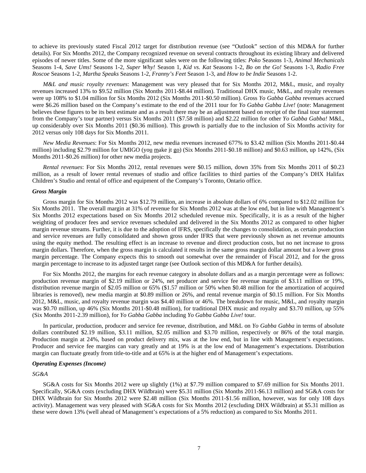to achieve its previously stated Fiscal 2012 target for distribution revenue (see "Outlook" section of this MD&A for further details). For Six Months 2012, the Company recognized revenue on several contracts throughout its existing library and delivered episodes of newer titles. Some of the more significant sales were on the following titles: *Poko* Seasons 1-3, *Animal Mechanicals* Seasons 1-4, *Save Ums!* Seasons 1-2, *Super Why!* Season 1, *Kid vs. Kat* Seasons 1-2, *Bo on the Go!* Seasons 1-3, *Radio Free Roscoe* Seasons 1-2, *Martha Speaks* Seasons 1-2, *Franny's Feet* Season 1-3, and *How to be Indie* Seasons 1-2.

*M&L and music royalty revenues*: Management was very pleased that for Six Months 2012, M&L, music, and royalty revenues increased 13% to \$9.52 million (Six Months 2011-\$8.44 million). Traditional DHX music, M&L, and royalty revenues were up 108% to \$1.04 million for Six Months 2012 (Six Months 2011-\$0.50 million). Gross *Yo Gabba Gabba* revenues accrued were \$6.26 million based on the Company's estimate to the end of the 2011 tour for *Yo Gabba Gabba Live!* (note: Management believes these figures to be its best estimate and as a result there may be an adjustment based on receipt of the final tour statement from the Company's tour partner) versus Six Months 2011 (\$7.58 million) and \$2.22 million for other *Yo Gabba Gabba!* M&L, up considerably over Six Months 2011 (\$0.36 million). This growth is partially due to the inclusion of Six Months activity for 2012 versus only 108 days for Six Months 2011.

*New Media Revenues*: For Six Months 2012, new media revenues increased 677% to \$3.42 million (Six Months 2011-\$0.44 million) including \$2.79 million for UMIGO (you make it go) (Six Months 2011-\$0.18 million) and \$0.63 million, up 142%, (Six Months 2011-\$0.26 million) for other new media projects.

*Rental revenues*: For Six Months 2012, rental revenues were \$0.15 million, down 35% from Six Months 2011 of \$0.23 million, as a result of lower rental revenues of studio and office facilities to third parties of the Company's DHX Halifax Children's Studio and rental of office and equipment of the Company's Toronto, Ontario office.

#### *Gross Margin*

Gross margin for Six Months 2012 was \$12.79 million, an increase in absolute dollars of 6% compared to \$12.02 million for Six Months 2011. The overall margin at 31% of revenue for Six Months 2012 was at the low end, but in line with Management's Six Months 2012 expectations based on Six Months 2012 scheduled revenue mix. Specifically, it is as a result of the higher weighting of producer fees and service revenues scheduled and delivered in the Six Months 2012 as compared to other higher margin revenue streams. Further, it is due to the adoption of IFRS, specifically the changes to consolidation, as certain production and service revenues are fully consolidated and shown gross under IFRS that were previously shown as net revenue amounts using the equity method. The resulting effect is an increase to revenue and direct production costs, but no net increase to gross margin dollars. Therefore, when the gross margin is calculated it results in the same gross margin dollar amount but a lower gross margin percentage. The Company expects this to smooth out somewhat over the remainder of Fiscal 2012, and for the gross margin percentage to increase to its adjusted target range (see Outlook section of this MD&A for further details).

For Six Months 2012, the margins for each revenue category in absolute dollars and as a margin percentage were as follows: production revenue margin of \$2.19 million or 24%, net producer and service fee revenue margin of \$3.11 million or 19%, distribution revenue margin of \$2.05 million or 65% (\$1.57 million or 50% when \$0.48 million for the amortization of acquired libraries is removed), new media margin at \$0.89 million or 26%, and rental revenue margin of \$0.15 million. For Six Months 2012, M&L, music, and royalty revenue margin was \$4.40 million or 46%. The breakdown for music, M&L, and royalty margin was \$0.70 million, up 46% (Six Months 2011-\$0.48 million), for traditional DHX music and royalty and \$3.70 million, up 55% (Six Months 2011-2.39 million), for *Yo Gabba Gabba* including *Yo Gabba Gabba Live!* tour.

In particular, production, producer and service fee revenue, distribution, and M&L on *Yo Gabba Gabba* in terms of absolute dollars contributed \$2.19 million, \$3.11 million, \$2.05 million and \$3.70 million, respectively or 86% of the total margin. Production margin at 24%, based on product delivery mix, was at the low end, but in line with Management's expectations. Producer and service fee margins can vary greatly and at 19% is at the low end of Management's expectations. Distribution margin can fluctuate greatly from title-to-title and at 65% is at the higher end of Management's expectations.

#### *Operating Expenses (Income)*

#### *SG&A*

SG&A costs for Six Months 2012 were up slightly (1%) at \$7.79 million compared to \$7.69 million for Six Months 2011. Specifically, SG&A costs (excluding DHX Wildbrain) were \$5.31 million (Six Months 2011-\$6.13 million) and SG&A costs for DHX Wildbrain for Six Months 2012 were \$2.48 million (Six Months 2011-\$1.56 million, however, was for only 108 days activity). Management was very pleased with SG&A costs for Six Months 2012 (excluding DHX Wildbrain) at \$5.31 million as these were down 13% (well ahead of Management's expectations of a 5% reduction) as compared to Six Months 2011.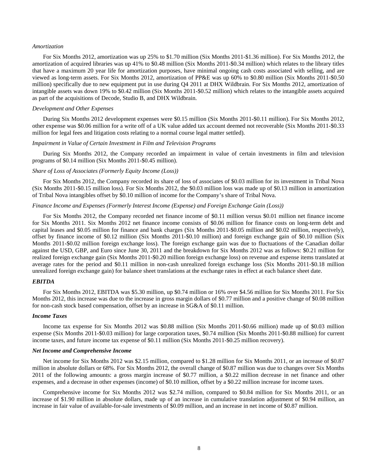#### *Amortization*

For Six Months 2012, amortization was up 25% to \$1.70 million (Six Months 2011-\$1.36 million). For Six Months 2012, the amortization of acquired libraries was up 41% to \$0.48 million (Six Months 2011-\$0.34 million) which relates to the library titles that have a maximum 20 year life for amortization purposes, have minimal ongoing cash costs associated with selling, and are viewed as long-term assets. For Six Months 2012, amortization of PP&E was up 60% to \$0.80 million (Six Months 2011-\$0.50 million) specifically due to new equipment put in use during Q4 2011 at DHX Wildbrain. For Six Months 2012, amortization of intangible assets was down 19% to \$0.42 million (Six Months 2011-\$0.52 million) which relates to the intangible assets acquired as part of the acquisitions of Decode, Studio B, and DHX Wildbrain.

#### *Development and Other Expenses*

During Six Months 2012 development expenses were \$0.15 million (Six Months 2011-\$0.11 million). For Six Months 2012, other expense was \$0.06 million for a write off of a UK value added tax account deemed not recoverable (Six Months 2011-\$0.33 million for legal fees and litigation costs relating to a normal course legal matter settled).

#### *Impairment in Value of Certain Investment in Film and Television Programs*

During Six Months 2012, the Company recorded an impairment in value of certain investments in film and television programs of \$0.14 million (Six Months 2011-\$0.45 million).

# *Share of Loss of Associates (Formerly Equity Income (Loss))*

For Six Months 2012, the Company recorded its share of loss of associates of \$0.03 million for its investment in Tribal Nova (Six Months 2011-\$0.15 million loss). For Six Months 2012, the \$0.03 million loss was made up of \$0.13 million in amortization of Tribal Nova intangibles offset by \$0.10 million of income for the Company's share of Tribal Nova.

#### *Finance Income and Expenses (Formerly Interest Income (Expense) and Foreign Exchange Gain (Loss))*

For Six Months 2012, the Company recorded net finance income of \$0.11 million versus \$0.01 million net finance income for Six Months 2011. Six Months 2012 net finance income consists of \$0.06 million for finance costs on long-term debt and capital leases and \$0.05 million for finance and bank charges (Six Months 2011-\$0.05 million and \$0.02 million, respectively), offset by finance income of \$0.12 million (Six Months 2011-\$0.10 million) and foreign exchange gain of \$0.10 million (Six Months 2011-\$0.02 million foreign exchange loss). The foreign exchange gain was due to fluctuations of the Canadian dollar against the USD, GBP, and Euro since June 30, 2011 and the breakdown for Six Months 2012 was as follows: \$0.21 million for realized foreign exchange gain (Six Months 2011-\$0.20 million foreign exchange loss) on revenue and expense items translated at average rates for the period and \$0.11 million in non-cash unrealized foreign exchange loss (Six Months 2011-\$0.18 million unrealized foreign exchange gain) for balance sheet translations at the exchange rates in effect at each balance sheet date.

#### *EBITDA*

For Six Months 2012, EBITDA was \$5.30 million, up \$0.74 million or 16% over \$4.56 million for Six Months 2011. For Six Months 2012, this increase was due to the increase in gross margin dollars of \$0.77 million and a positive change of \$0.08 million for non-cash stock based compensation, offset by an increase in SG&A of \$0.11 million.

#### *Income Taxes*

Income tax expense for Six Months 2012 was \$0.88 million (Six Months 2011-\$0.66 million) made up of \$0.03 million expense (Six Months 2011-\$0.03 million) for large corporation taxes, \$0.74 million (Six Months 2011-\$0.88 million) for current income taxes, and future income tax expense of \$0.11 million (Six Months 2011-\$0.25 million recovery).

#### *Net Income and Comprehensive Income*

Net income for Six Months 2012 was \$2.15 million, compared to \$1.28 million for Six Months 2011, or an increase of \$0.87 million in absolute dollars or 68%. For Six Months 2012, the overall change of \$0.87 million was due to changes over Six Months 2011 of the following amounts: a gross margin increase of \$0.77 million, a \$0.22 million decrease in net finance and other expenses, and a decrease in other expenses (income) of \$0.10 million, offset by a \$0.22 million increase for income taxes.

Comprehensive income for Six Months 2012 was \$2.74 million, compared to \$0.84 million for Six Months 2011, or an increase of \$1.90 million in absolute dollars, made up of an increase in cumulative translation adjustment of \$0.94 million, an increase in fair value of available-for-sale investments of \$0.09 million, and an increase in net income of \$0.87 million.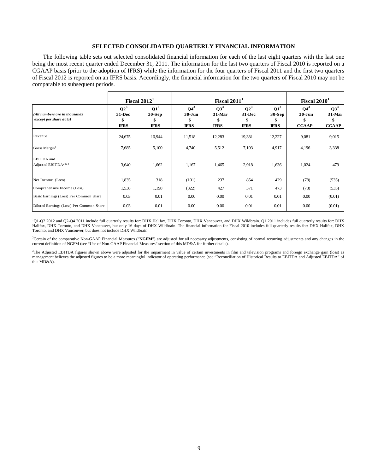# **SELECTED CONSOLIDATED QUARTERLY FINANCIAL INFORMATION**

The following table sets out selected consolidated financial information for each of the last eight quarters with the last one being the most recent quarter ended December 31, 2011. The information for the last two quarters of Fiscal 2010 is reported on a CGAAP basis (prior to the adoption of IFRS) while the information for the four quarters of Fiscal 2011 and the first two quarters of Fiscal 2012 is reported on an IFRS basis. Accordingly, the financial information for the two quarters of Fiscal 2010 may not be comparable to subsequent periods.

|                                                          |                            | Fiscal $2012^1$    | Fiscal $20111$             |                       |                           |                         | Fiscal $20101$             |                          |
|----------------------------------------------------------|----------------------------|--------------------|----------------------------|-----------------------|---------------------------|-------------------------|----------------------------|--------------------------|
| (All numbers are in thousands)<br>except per share data) | $Q2^3$<br>$31 - Dec$<br>\$ | $Q1^3$<br>$30-Sep$ | $Q4^3$<br>$30 - Jun$<br>\$ | $Q3^3$<br>31-Mar<br>S | $Q2^3$<br>$31 - Dec$<br>S | $Q1^3$<br>$30-Sep$<br>ъ | $Q4^3$<br>$30 - Jun$<br>\$ | $Q3^3$<br>$31$ -Mar<br>S |
|                                                          | <b>IFRS</b>                | <b>IFRS</b>        | <b>IFRS</b>                | <b>IFRS</b>           | <b>IFRS</b>               | <b>IFRS</b>             | <b>CGAAP</b>               | <b>CGAAP</b>             |
| Revenue                                                  | 24,675                     | 16,944             | 11,518                     | 12,283                | 19,381                    | 12,227                  | 9,081                      | 9,015                    |
| Gross Margin <sup>2</sup>                                | 7,685                      | 5,100              | 4,740                      | 5,512                 | 7,103                     | 4,917                   | 4,196                      | 3,338                    |
| EBITDA and<br>Adjusted EBITDA <sup>2 &amp; 3</sup>       | 3,640                      | 1,662              | 1,167                      | 1,465                 | 2,918                     | 1,636                   | 1,024                      | 479                      |
| Net Income (Loss)                                        | 1,835                      | 318                | (101)                      | 237                   | 854                       | 429                     | (78)                       | (535)                    |
| Comprehensive Income (Loss)                              | 1,538                      | 1,198              | (322)                      | 427                   | 371                       | 473                     | (78)                       | (535)                    |
| Basic Earnings (Loss) Per Common Share                   | 0.03                       | 0.01               | 0.00                       | 0.00                  | 0.01                      | 0.01                    | 0.00                       | (0.01)                   |
| Diluted Earnings (Loss) Per Common Share                 | 0.03                       | 0.01               | 0.00                       | 0.00                  | 0.01                      | 0.01                    | 0.00                       | (0.01)                   |

<sup>1</sup>Q1-Q2 2012 and Q2-Q4 2011 include full quarterly results for: DHX Halifax, DHX Toronto, DHX Vancouver, and DHX Wildbrain. Q1 2011 includes full quarterly results for: DHX Halifax, DHX Toronto, and DHX Vancouver, but only 16 days of DHX Wildbrain. The financial information for Fiscal 2010 includes full quarterly results for: DHX Halifax, DHX Toronto, and DHX Vancouver, but does not include DHX Wildbrain.

<sup>2</sup>Certain of the comparative Non-GAAP Financial Measures ("NGFM") are adjusted for all necessary adjustments, consisting of normal recurring adjustments and any changes in the current definition of NGFM (see "Use of Non-GAAP Financial Measures" section of this MD&A for further details).

<sup>3</sup>The Adjusted EBITDA figures shown above were adjusted for the impairment in value of certain investments in film and television programs and foreign exchange gain (loss) as management believes the adjusted figures to be a more meaningful indicator of operating performance (see "Reconciliation of Historical Results to EBITDA and Adjusted EBITDA" of this MD&A).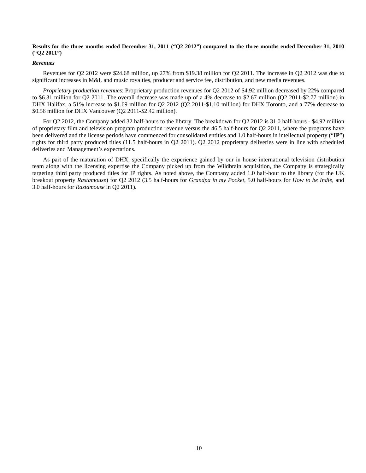# **Results for the three months ended December 31, 2011 ("Q2 2012") compared to the three months ended December 31, 2010 ("Q2 2011")**

#### *Revenues*

Revenues for Q2 2012 were \$24.68 million, up 27% from \$19.38 million for Q2 2011. The increase in Q2 2012 was due to significant increases in M&L and music royalties, producer and service fee, distribution, and new media revenues.

*Proprietary production revenues*: Proprietary production revenues for Q2 2012 of \$4.92 million decreased by 22% compared to \$6.31 million for Q2 2011. The overall decrease was made up of a 4% decrease to \$2.67 million (Q2 2011-\$2.77 million) in DHX Halifax, a 51% increase to \$1.69 million for Q2 2012 (Q2 2011-\$1.10 million) for DHX Toronto, and a 77% decrease to \$0.56 million for DHX Vancouver (Q2 2011-\$2.42 million).

For Q2 2012, the Company added 32 half-hours to the library. The breakdown for Q2 2012 is 31.0 half-hours - \$4.92 million of proprietary film and television program production revenue versus the 46.5 half-hours for Q2 2011, where the programs have been delivered and the license periods have commenced for consolidated entities and 1.0 half-hours in intellectual property ("**IP**") rights for third party produced titles (11.5 half-hours in Q2 2011). Q2 2012 proprietary deliveries were in line with scheduled deliveries and Management's expectations.

As part of the maturation of DHX, specifically the experience gained by our in house international television distribution team along with the licensing expertise the Company picked up from the Wildbrain acquisition, the Company is strategically targeting third party produced titles for IP rights. As noted above, the Company added 1.0 half-hour to the library (for the UK breakout property *Rastamouse*) for Q2 2012 (3.5 half-hours for *Grandpa in my Pocket*, 5.0 half-hours for *How to be Indie,* and 3.0 half-hours for *Rastamouse* in Q2 2011).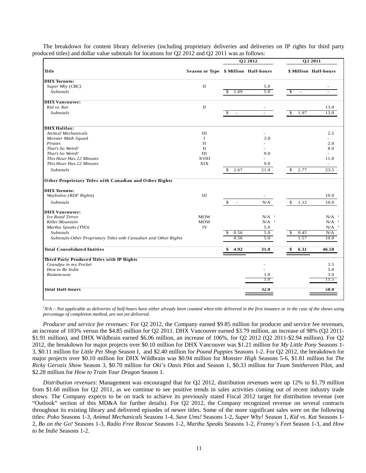|                                                                   |                                      |                        | Q2 2012                         | Q2 2011                      |                                 |  |
|-------------------------------------------------------------------|--------------------------------------|------------------------|---------------------------------|------------------------------|---------------------------------|--|
| Title                                                             | Season or Type \$ Million Half-hours |                        |                                 | <b>\$ Million Half-hours</b> |                                 |  |
| <b>DHX</b> Toronto:                                               |                                      |                        |                                 |                              |                                 |  |
| Super Why (CBC)                                                   | $\rm II$                             |                        | 5.0                             |                              |                                 |  |
| <b>Subtotals</b>                                                  |                                      | 1.69<br>\$.            | 5.0                             | \$<br>$\sim$                 |                                 |  |
| <b>DHX</b> Vancouver:                                             |                                      |                        |                                 |                              |                                 |  |
| Kid vs. Kat                                                       | $\mathbf{H}$                         |                        |                                 |                              | 13.0                            |  |
| Subtotals                                                         |                                      | \$<br>÷,               | $\sim$                          | 1.97<br>\$                   | 13.0                            |  |
| <b>DHX</b> Halifax:                                               |                                      |                        |                                 |                              |                                 |  |
| Animal Mechanicals                                                | $\rm III$                            |                        | $\sim$                          |                              | 2.5                             |  |
| Monster Math Squad                                                | $\mathbf I$                          |                        | 3.0                             |                              |                                 |  |
| Pirates                                                           | $\rm II$                             |                        |                                 |                              | 2.0                             |  |
| That's So Weird!                                                  | $_{\rm II}$                          |                        |                                 |                              | 8.0                             |  |
| That's So Weird!                                                  | III                                  |                        | 9.0                             |                              | $\omega$                        |  |
| This Hour Has 22 Minutes                                          | <b>XVIII</b>                         |                        |                                 |                              | 11.0                            |  |
| This Hour Has 22 Minutes                                          | XIX                                  |                        | 9.0                             |                              | $\sim$                          |  |
| <b>Subtotals</b>                                                  |                                      | 2.67<br>\$             | 21.0                            | 2.77<br>$\mathbb{S}$         | 23.5                            |  |
| Other Proprietary Titles with Canadian and Other Rights           |                                      |                        |                                 |                              |                                 |  |
| <b>DHX</b> Toronto:                                               |                                      |                        |                                 |                              |                                 |  |
| Waybuloo (RDF Rights)                                             | $\rm III$                            |                        | $\overline{\phantom{a}}$        |                              | 10.0                            |  |
| Subtotals                                                         |                                      | $\mathbb{S}$<br>$\sim$ | N/A                             | $\mathbb{S}$<br>1.12         | 10.0                            |  |
| <b>DHX</b> Vancouver:                                             |                                      |                        |                                 |                              |                                 |  |
| <b>Ice Road Terror</b>                                            | <b>MOW</b>                           |                        | $N/A$ <sup><math>1</math></sup> |                              | $N/A$ <sup><math>1</math></sup> |  |
| Killer Mountain                                                   | <b>MOW</b>                           |                        | $N/A$ <sup><math>1</math></sup> |                              | $N/A$ <sup><math>1</math></sup> |  |
| Martha Speaks (TVO)                                               | IV                                   |                        | 5.0                             |                              | $N/A$ <sup><math>1</math></sup> |  |
| Subtotals                                                         |                                      | 0.56                   | 5.0                             | 0.45<br>\$.                  | N/A                             |  |
| Subtotals-Other Proprietary Titles with Canadian and Other Rights |                                      | 0.56                   | 5.0                             | 1.57                         | 10.0                            |  |
| <b>Total Consolidated Entities</b>                                |                                      | 4.92                   | 31.0                            | 6.31                         | 46.50                           |  |
| Third Party Produced Titles with IP Rights                        |                                      |                        |                                 |                              |                                 |  |
|                                                                   |                                      |                        |                                 |                              | 3.5                             |  |
| Grandpa in my Pocket                                              |                                      |                        |                                 |                              | 5.0                             |  |
| How to Be Indie                                                   |                                      |                        |                                 |                              |                                 |  |
| <b>Rastamouse</b>                                                 |                                      |                        | 1.0                             |                              | 3.0                             |  |
|                                                                   |                                      |                        | 1.0                             |                              | 11.5                            |  |

The breakdown for content library deliveries (including proprietary deliveries and deliveries on IP rights for third party produced titles) and dollar value subtotals for locations for  $\Omega$ 2012 and  $\Omega$ 2011 was as follows:

<sup>*1</sup>N/A – Not applicable as deliveries of half-hours have either already been counted when title delivered in the first instance or in the case of the shows using</sup> percentage of completion method, are not yet delivered*.

*Producer and service fee revenues:* For Q2 2012, the Company earned \$9.85 million for producer and service fee revenues, an increase of 103% versus the \$4.85 million for Q2 2011. DHX Vancouver earned \$3.79 million, an increase of 98% (Q2 2011- \$1.91 million), and DHX Wildbrain earned \$6.06 million, an increase of 106%, for Q2 2012 (Q2 2011-\$2.94 million). For Q2 2012, the breakdown for major projects over \$0.10 million for DHX Vancouver was \$1.21 million for *My Little Pony* Seasons 1- 3, \$0.11 million for *Little Pet Shop* Season I, and \$2.40 million for *Pound Puppies* Seasons 1-2. For Q2 2012, the breakdown for major projects over \$0.10 million for DHX Wildbrain was \$0.94 million for *Monster High* Seasons 5-6, \$1.81 million for *The Ricky Gervais Show* Season 3, \$0.70 million for *Oki's Oasis* Pilot and Season 1, \$0.33 million for *Team Smithereen* Pilot, and \$2.28 million for *How to Train Your Dragon* Season 1.

*Distribution revenues*: Management was encouraged that for Q2 2012, distribution revenues were up 12% to \$1.79 million from \$1.60 million for Q2 2011, as we continue to see positive trends in sales activities coming out of recent industry trade shows. The Company expects to be on track to achieve its previously stated Fiscal 2012 target for distribution revenue (see "Outlook" section of this MD&A for further details). For Q2 2012, the Company recognized revenue on several contracts throughout its existing library and delivered episodes of newer titles. Some of the more significant sales were on the following titles: *Poko* Seasons 1-3, *Animal Mechanicals* Seasons 1-4, *Save Ums!* Seasons 1-2, *Super Why!* Season 1, *Kid vs. Kat* Seasons 1- 2, *Bo on the Go!* Seasons 1-3, *Radio Free Roscoe* Seasons 1-2, *Martha Speaks* Seasons 1-2, *Franny's Feet* Season 1-3, and *How to be Indie* Seasons 1-2.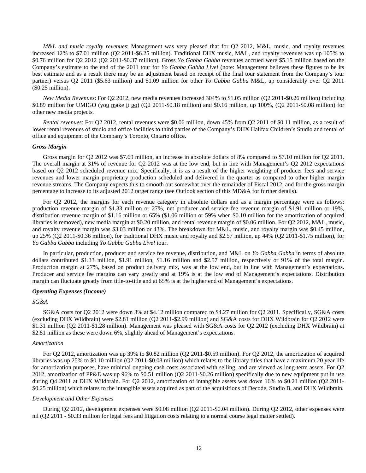*M&L and music royalty revenues*: Management was very pleased that for Q2 2012, M&L, music, and royalty revenues increased 12% to \$7.01 million (Q2 2011-\$6.25 million). Traditional DHX music, M&L, and royalty revenues was up 105% to \$0.76 million for Q2 2012 (Q2 2011-\$0.37 million). Gross *Yo Gabba Gabba* revenues accrued were \$5.15 million based on the Company's estimate to the end of the 2011 tour for *Yo Gabba Gabba Live!* (note: Management believes these figures to be its best estimate and as a result there may be an adjustment based on receipt of the final tour statement from the Company's tour partner) versus Q2 2011 (\$5.63 million) and \$1.09 million for other *Yo Gabba Gabba* M&L, up considerably over Q2 2011 (\$0.25 million).

*New Media Revenues*: For Q2 2012, new media revenues increased 304% to \$1.05 million (Q2 2011-\$0.26 million) including \$0.89 million for UMIGO (you make it go) (Q2 2011-\$0.18 million) and \$0.16 million, up 100%, (Q2 2011-\$0.08 million) for other new media projects.

*Rental revenues*: For Q2 2012, rental revenues were \$0.06 million, down 45% from Q2 2011 of \$0.11 million, as a result of lower rental revenues of studio and office facilities to third parties of the Company's DHX Halifax Children's Studio and rental of office and equipment of the Company's Toronto, Ontario office.

#### *Gross Margin*

Gross margin for Q2 2012 was \$7.69 million, an increase in absolute dollars of 8% compared to \$7.10 million for Q2 2011. The overall margin at 31% of revenue for Q2 2012 was at the low end, but in line with Management's Q2 2012 expectations based on Q2 2012 scheduled revenue mix. Specifically, it is as a result of the higher weighting of producer fees and service revenues and lower margin proprietary production scheduled and delivered in the quarter as compared to other higher margin revenue streams. The Company expects this to smooth out somewhat over the remainder of Fiscal 2012, and for the gross margin percentage to increase to its adjusted 2012 target range (see Outlook section of this MD&A for further details).

For Q2 2012, the margins for each revenue category in absolute dollars and as a margin percentage were as follows: production revenue margin of \$1.33 million or 27%, net producer and service fee revenue margin of \$1.91 million or 19%, distribution revenue margin of \$1.16 million or 65% (\$1.06 million or 59% when \$0.10 million for the amortization of acquired libraries is removed), new media margin at \$0.20 million, and rental revenue margin of \$0.06 million. For Q2 2012, M&L, music, and royalty revenue margin was \$3.03 million or 43%. The breakdown for M&L, music, and royalty margin was \$0.45 million, up 25% (Q2 2011-\$0.36 million), for traditional DHX music and royalty and \$2.57 million, up 44% (Q2 2011-\$1.75 million), for *Yo Gabba Gabba* including *Yo Gabba Gabba Live!* tour.

In particular, production, producer and service fee revenue, distribution, and M&L on *Yo Gabba Gabba* in terms of absolute dollars contributed \$1.33 million, \$1.91 million, \$1.16 million and \$2.57 million, respectively or 91% of the total margin. Production margin at 27%, based on product delivery mix, was at the low end, but in line with Management's expectations. Producer and service fee margins can vary greatly and at 19% is at the low end of Management's expectations. Distribution margin can fluctuate greatly from title-to-title and at 65% is at the higher end of Management's expectations.

# *Operating Expenses (Income)*

#### *SG&A*

SG&A costs for Q2 2012 were down 3% at \$4.12 million compared to \$4.27 million for Q2 2011. Specifically, SG&A costs (excluding DHX Wildbrain) were \$2.81 million (Q2 2011-\$2.99 million) and SG&A costs for DHX Wildbrain for Q2 2012 were \$1.31 million (Q2 2011-\$1.28 million). Management was pleased with SG&A costs for Q2 2012 (excluding DHX Wildbrain) at \$2.81 million as these were down 6%, slightly ahead of Management's expectations.

#### *Amortization*

For Q2 2012, amortization was up 39% to \$0.82 million (Q2 2011-\$0.59 million). For Q2 2012, the amortization of acquired libraries was up 25% to \$0.10 million (Q2 2011-\$0.08 million) which relates to the library titles that have a maximum 20 year life for amortization purposes, have minimal ongoing cash costs associated with selling, and are viewed as long-term assets. For Q2 2012, amortization of PP&E was up 96% to \$0.51 million (Q2 2011-\$0.26 million) specifically due to new equipment put in use during Q4 2011 at DHX Wildbrain. For Q2 2012, amortization of intangible assets was down 16% to \$0.21 million (Q2 2011-\$0.25 million) which relates to the intangible assets acquired as part of the acquisitions of Decode, Studio B, and DHX Wildbrain.

#### *Development and Other Expenses*

During Q2 2012, development expenses were \$0.08 million (Q2 2011-\$0.04 million). During Q2 2012, other expenses were nil (Q2 2011 - \$0.33 million for legal fees and litigation costs relating to a normal course legal matter settled).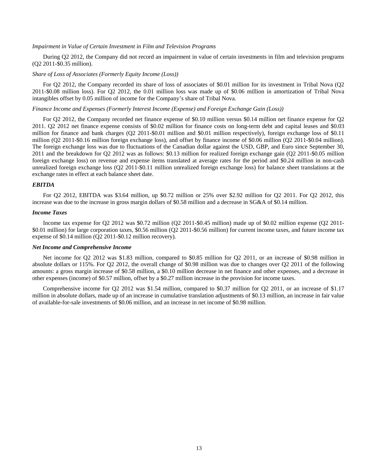#### *Impairment in Value of Certain Investment in Film and Television Programs*

During Q2 2012, the Company did not record an impairment in value of certain investments in film and television programs (Q2 2011-\$0.35 million).

#### *Share of Loss of Associates (Formerly Equity Income (Loss))*

For Q2 2012, the Company recorded its share of loss of associates of \$0.01 million for its investment in Tribal Nova (Q2 2011-\$0.08 million loss). For Q2 2012, the 0.01 million loss was made up of \$0.06 million in amortization of Tribal Nova intangibles offset by 0.05 million of income for the Company's share of Tribal Nova.

# *Finance Income and Expenses (Formerly Interest Income (Expense) and Foreign Exchange Gain (Loss))*

For Q2 2012, the Company recorded net finance expense of \$0.10 million versus \$0.14 million net finance expense for Q2 2011. Q2 2012 net finance expense consists of \$0.02 million for finance costs on long-term debt and capital leases and \$0.03 million for finance and bank charges (Q2 2011-\$0.01 million and \$0.01 million respectively), foreign exchange loss of \$0.11 million (Q2 2011-\$0.16 million foreign exchange loss), and offset by finance income of \$0.06 million (Q2 2011-\$0.04 million). The foreign exchange loss was due to fluctuations of the Canadian dollar against the USD, GBP, and Euro since September 30, 2011 and the breakdown for Q2 2012 was as follows: \$0.13 million for realized foreign exchange gain (Q2 2011-\$0.05 million foreign exchange loss) on revenue and expense items translated at average rates for the period and \$0.24 million in non-cash unrealized foreign exchange loss (Q2 2011-\$0.11 million unrealized foreign exchange loss) for balance sheet translations at the exchange rates in effect at each balance sheet date.

#### *EBITDA*

For Q2 2012, EBITDA was \$3.64 million, up \$0.72 million or 25% over \$2.92 million for Q2 2011. For Q2 2012, this increase was due to the increase in gross margin dollars of \$0.58 million and a decrease in SG&A of \$0.14 million.

#### *Income Taxes*

Income tax expense for Q2 2012 was \$0.72 million (Q2 2011-\$0.45 million) made up of \$0.02 million expense (Q2 2011- \$0.01 million) for large corporation taxes, \$0.56 million (Q2 2011-\$0.56 million) for current income taxes, and future income tax expense of \$0.14 million (Q2 2011-\$0.12 million recovery).

#### *Net Income and Comprehensive Income*

Net income for Q2 2012 was \$1.83 million, compared to \$0.85 million for Q2 2011, or an increase of \$0.98 million in absolute dollars or 115%. For Q2 2012, the overall change of \$0.98 million was due to changes over Q2 2011 of the following amounts: a gross margin increase of \$0.58 million, a \$0.10 million decrease in net finance and other expenses, and a decrease in other expenses (income) of \$0.57 million, offset by a \$0.27 million increase in the provision for income taxes.

Comprehensive income for Q2 2012 was \$1.54 million, compared to \$0.37 million for Q2 2011, or an increase of \$1.17 million in absolute dollars, made up of an increase in cumulative translation adjustments of \$0.13 million, an increase in fair value of available-for-sale investments of \$0.06 million, and an increase in net income of \$0.98 million.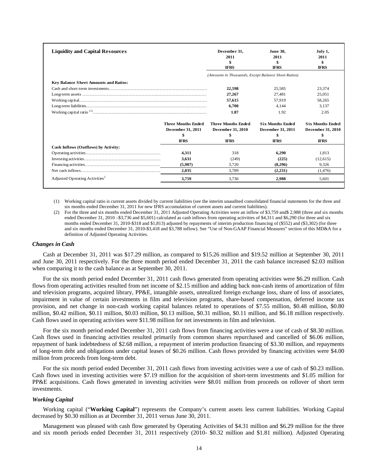| <b>Liquidity and Capital Resources</b>       |                                                | December 31.<br>2011<br><b>IFRS</b>                 | <b>June 30.</b><br>2011<br><b>IFRS</b>       | July 1,<br>2011<br>\$<br><b>IFRS</b>         |
|----------------------------------------------|------------------------------------------------|-----------------------------------------------------|----------------------------------------------|----------------------------------------------|
|                                              |                                                | (Amounts in Thousands, Except Balance Sheet Ratios) |                                              |                                              |
| <b>Key Balance Sheet Amounts and Ratios:</b> |                                                |                                                     |                                              |                                              |
|                                              |                                                | 22,598                                              | 25.585                                       | 23.374                                       |
|                                              |                                                | 27,267                                              | 27.481                                       | 25.051                                       |
|                                              |                                                | 57.615                                              | 57.919                                       | 58,265                                       |
|                                              |                                                | 6.700                                               | 4.144                                        | 3.137                                        |
|                                              |                                                | 1.87                                                | 1.92                                         | 2.05                                         |
|                                              | <b>Three Months Ended</b><br>December 31, 2011 | <b>Three Months Ended</b><br>December 31, 2010      | <b>Six Months Ended</b><br>December 31, 2011 | <b>Six Months Ended</b><br>December 31, 2010 |
|                                              | \$                                             | \$                                                  | \$                                           | \$                                           |
|                                              | <b>IFRS</b>                                    | <b>IFRS</b>                                         | <b>IFRS</b>                                  | <b>IFRS</b>                                  |
| Cash Inflows (Outflows) by Activity:         |                                                |                                                     |                                              |                                              |
|                                              | 4.311                                          | 318                                                 | 6.290                                        | 1.813                                        |
|                                              | 3.631                                          | (249)                                               | (225)                                        | (12,615)                                     |
|                                              | (5,907)                                        | 3,720                                               | (8.296)                                      | 9,326                                        |
|                                              | 2,035                                          | 3,789                                               | (2,231)                                      | (1,476)                                      |
| Adjusted Operating Activities <sup>2</sup>   | 3,759                                          | 3,736                                               | 2,988                                        | 5,601                                        |

(1) Working capital ratio is current assets divided by current liabilities (see the interim unaudited consolidated financial statements for the three and six months ended December 31, 2011 for new IFRS accumulation of current assets and current liabilities).

(2) For the three and six months ended December 31, 2011 Adjusted Operating Activities were an inflow of \$3,759 and\$ 2,988 (three and six months ended December 31, 2010 –\$3,736 and \$5,601) calculated as cash inflows from operating activities of \$4,311 and \$6,290 (for three and six months ended December 31, 2010-\$318 and \$1,813) adjusted by repayments of interim production financing of (\$552) and (\$3,302) (for three and six months ended December 31, 2010-\$3,418 and \$3,788 inflow). See "Use of Non-GAAP Financial Measures" section of this MD&A for a definition of Adjusted Operating Activities.

#### *Changes in Cash*

Cash at December 31, 2011 was \$17.29 million, as compared to \$15.26 million and \$19.52 million at September 30, 2011 and June 30, 2011 respectively. For the three month period ended December 31, 2011 the cash balance increased \$2.03 million when comparing it to the cash balance as at September 30, 2011.

For the six month period ended December 31, 2011 cash flows generated from operating activities were \$6.29 million. Cash flows from operating activities resulted from net income of \$2.15 million and adding back non-cash items of amortization of film and television programs, acquired library, PP&E, intangible assets, unrealized foreign exchange loss, share of loss of associates, impairment in value of certain investments in film and television programs, share-based compensation, deferred income tax provision, and net change in non-cash working capital balances related to operations of \$7.55 million, \$0.48 million, \$0.80 million, \$0.42 million, \$0.11 million, \$0.03 million, \$0.13 million, \$0.31 million, \$0.11 million, and \$6.18 million respectively. Cash flows used in operating activities were \$11.98 million for net investments in film and television.

For the six month period ended December 31, 2011 cash flows from financing activities were a use of cash of \$8.30 million. Cash flows used in financing activities resulted primarily from common shares repurchased and cancelled of \$6.06 million, repayment of bank indebtedness of \$2.68 million, a repayment of interim production financing of \$3.30 million, and repayments of long-term debt and obligations under capital leases of \$0.26 million. Cash flows provided by financing activities were \$4.00 million from proceeds from long-term debt.

For the six month period ended December 31, 2011 cash flows from investing activities were a use of cash of \$0.23 million. Cash flows used in investing activities were \$7.19 million for the acquisition of short-term investments and \$1.05 million for PP&E acquisitions. Cash flows generated in investing activities were \$8.01 million from proceeds on rollover of short term investments.

#### *Working Capital*

Working capital ("**Working Capital**") represents the Company's current assets less current liabilities. Working Capital decreased by \$0.30 million as at December 31, 2011 versus June 30, 2011.

Management was pleased with cash flow generated by Operating Activities of \$4.31 million and \$6.29 million for the three and six month periods ended December 31, 2011 respectively (2010- \$0.32 million and \$1.81 million). Adjusted Operating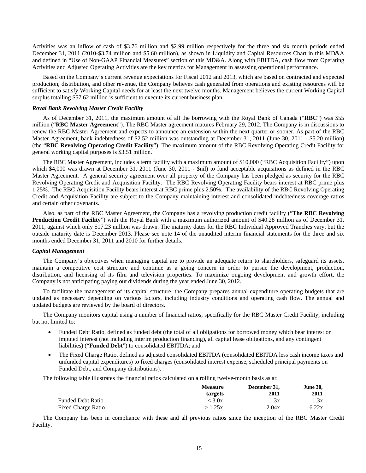Activities was an inflow of cash of \$3.76 million and \$2.99 million respectively for the three and six month periods ended December 31, 2011 (2010-\$3.74 million and \$5.60 million), as shown in Liquidity and Capital Resources Chart in this MD&A and defined in "Use of Non-GAAP Financial Measures" section of this MD&A. Along with EBITDA, cash flow from Operating Activities and Adjusted Operating Activities are the key metrics for Management in assessing operational performance.

Based on the Company's current revenue expectations for Fiscal 2012 and 2013, which are based on contracted and expected production, distribution, and other revenue, the Company believes cash generated from operations and existing resources will be sufficient to satisfy Working Capital needs for at least the next twelve months. Management believes the current Working Capital surplus totalling \$57.62 million is sufficient to execute its current business plan.

#### *Royal Bank Revolving Master Credit Facility*

As of December 31, 2011, the maximum amount of all the borrowing with the Royal Bank of Canada ("**RBC**") was \$55 million ("**RBC Master Agreement**"). The RBC Master agreement matures February 29, 2012. The Company is in discussions to renew the RBC Master Agreement and expects to announce an extension within the next quarter or sooner. As part of the RBC Master Agreement, bank indebtedness of \$2.52 million was outstanding at December 31, 2011 (June 30, 2011 - \$5.20 million) (the "**RBC Revolving Operating Credit Facility**"). The maximum amount of the RBC Revolving Operating Credit Facility for general working capital purposes is \$3.51 million.

The RBC Master Agreement, includes a term facility with a maximum amount of \$10,000 ("RBC Acquisition Facility") upon which \$4,000 was drawn at December 31, 2011 (June 30, 2011 - \$nil) to fund acceptable acquisitions as defined in the RBC Master Agreement. A general security agreement over all property of the Company has been pledged as security for the RBC Revolving Operating Credit and Acquisition Facility. The RBC Revolving Operating Facility bears interest at RBC prime plus 1.25%. The RBC Acquisition Facility bears interest at RBC prime plus 2.50%. The availability of the RBC Revolving Operating Credit and Acquisition Facility are subject to the Company maintaining interest and consolidated indebtedness coverage ratios and certain other covenants.

Also, as part of the RBC Master Agreement, the Company has a revolving production credit facility ("**The RBC Revolving Production Credit Facility**") with the Royal Bank with a maximum authorized amount of \$40.28 million as of December 31, 2011, against which only \$17.23 million was drawn. The maturity dates for the RBC Individual Approved Tranches vary, but the outside maturity date is December 2013. Please see note 14 of the unaudited interim financial statements for the three and six months ended December 31, 2011 and 2010 for further details.

#### *Capital Management*

The Company's objectives when managing capital are to provide an adequate return to shareholders, safeguard its assets, maintain a competitive cost structure and continue as a going concern in order to pursue the development, production, distribution, and licensing of its film and television properties. To maximize ongoing development and growth effort, the Company is not anticipating paying out dividends during the year ended June 30, 2012.

To facilitate the management of its capital structure, the Company prepares annual expenditure operating budgets that are updated as necessary depending on various factors, including industry conditions and operating cash flow. The annual and updated budgets are reviewed by the board of directors.

The Company monitors capital using a number of financial ratios, specifically for the RBC Master Credit Facility, including but not limited to:

- Funded Debt Ratio, defined as funded debt (the total of all obligations for borrowed money which bear interest or imputed interest (not including interim production financing), all capital lease obligations, and any contingent liabilities) ("**Funded Debt**") to consolidated EBITDA; and
- The Fixed Charge Ratio, defined as adjusted consolidated EBITDA (consolidated EBITDA less cash income taxes and unfunded capital expenditures) to fixed charges (consolidated interest expense, scheduled principal payments on Funded Debt, and Company distributions).

The following table illustrates the financial ratios calculated on a rolling twelve-month basis as at:

|                           | <b>Measure</b> | December 31, | <b>June 30.</b> |
|---------------------------|----------------|--------------|-----------------|
|                           | targets        | 2011         | 2011            |
| Funded Debt Ratio         | < 3.0x         | 1.3x         | 1.3x            |
| <b>Fixed Charge Ratio</b> | >1.25x         | 2.04x        | 6.22x           |

The Company has been in compliance with these and all previous ratios since the inception of the RBC Master Credit Facility.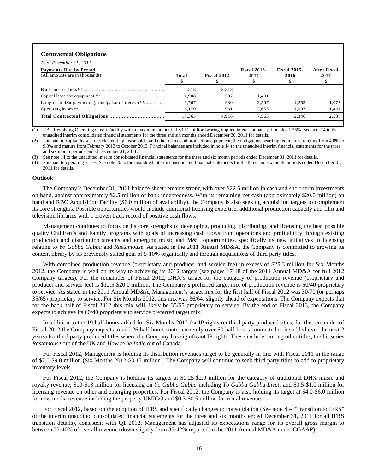#### **Contractual Obligations**

| As of December 31, 2011                                         |              |             |                             |                             |                      |
|-----------------------------------------------------------------|--------------|-------------|-----------------------------|-----------------------------|----------------------|
| <b>Payments Due by Period</b><br>(All amounts are in thousands) | <b>Total</b> | Fiscal 2012 | <b>Fiscal 2013-</b><br>2014 | <b>Fiscal 2015-</b><br>2016 | After Fiscal<br>2017 |
|                                                                 |              |             |                             |                             |                      |
|                                                                 | 2.518        | 2,518       |                             |                             |                      |
|                                                                 | 1.908        | 507         | 1.401                       | $\overline{\phantom{a}}$    |                      |
| Long-term debt payments (principal and interest) $(3)$          | 6.767        | 930         | 3.507                       | 1.253                       | 1.077                |
|                                                                 | 6,170        | 961         | 2.655                       | 1.093                       | 1.461                |
|                                                                 | 17.363       | 4.916       | 7.563                       | 2.346                       | 2.538                |
|                                                                 |              |             |                             |                             |                      |

(1) RBC Revolving Operating Credit Facility with a maximum amount of \$3.51 million bearing implied interest at bank prime plus 1.25%. See note 14 to the unaudited interim consolidated financial statements for the three and six months ended December 30, 2011 for details.

(2) Pursuant to capital leases for video editing, leaseholds, and other office and production equipment, the obligations bear implied interest ranging from 4.0% to 9.8% and mature from February 2013 to October 2013. Principal balances are included in note 14 to the unaudited interim financial statements for the three and six month periods ended December 31, 2011.

(3) See note 14 to the unaudited interim consolidated financial statements for the three and six month periods ended December 31, 2011 for details.

(4) Pursuant to operating leases. See note 20 to the unaudited interim consolidated financial statements for the three and six month periods ended December 31, 2011 for details.

#### **Outlook**

The Company's December 31, 2011 balance sheet remains strong with over \$22.5 million in cash and short-term investments on hand, against approximately \$2.5 million of bank indebtedness. With its remaining net cash (approximately \$20.0 million) on hand and RBC Acquisition Facility (\$6.0 million of availability), the Company is also seeking acquisition targets to complement its core strengths. Possible opportunities would include additional licensing expertise, additional production capacity and film and television libraries with a proven track record of positive cash flows.

Management continues to focus on its core strengths of developing, producing, distributing, and licensing the best possible quality Children's and Family programs with goals of increasing cash flows from operations and profitability through existing production and distribution streams and emerging music and M&L opportunities, specifically its new initiatives in licensing relating to *Yo Gabba Gabba* and *Rastamouse*. As stated in the 2011 Annual MD&A, the Company is committed to growing its content library by its previously stated goal of 5-10% organically and through acquisitions of third party titles.

With combined production revenue (proprietary and producer and service fee) in excess of \$25.3 million for Six Months 2012, the Company is well on its way to achieving its 2012 targets (see pages 17-18 of the 2011 Annual MD&A for full 2012 Company targets). For the remainder of Fiscal 2012, DHX's target for the category of production revenue (proprietary and producer and service fee) is \$12.5-\$20.0 million. The Company's preferred target mix of production revenue is 60/40 proprietary to service. As stated in the 2011 Annual MD&A, Management's target mix for the first half of Fiscal 2012 was 30/70 (or perhaps 35/65) proprietary to service. For Six Months 2012, this mix was 36/64, slightly ahead of expectations. The Company expects that for the back half of Fiscal 2012 this mix will likely be 35/65 proprietary to service. By the end of Fiscal 2013, the Company expects to achieve its 60/40 proprietary to service preferred target mix.

In addition to the 19 half-hours added for Six Months 2012 for IP rights on third party produced titles, for the remainder of Fiscal 2012 the Company expects to add 26 half-hours (note: currently over 50 half-hours contracted to be added over the next 2 years) for third party produced titles where the Company has significant IP rights. These include, among other titles, the hit series *Rastamouse* out of the UK and *How to be Indie* out of Canada.

For Fiscal 2012, Management is holding its distribution revenues target to be generally in line with Fiscal 2011 in the range of \$7.0-\$9.0 million (Six Months 2012-\$3.17 million). The Company will continue to seek third party titles to add to proprietary inventory levels.

For Fiscal 2012, the Company is holding its targets at \$1.25-\$2.0 million for the category of traditional DHX music and royalty revenue; \$10-\$13 million for licensing on *Yo Gabba Gabba* including *Yo Gabba Gabba Live!*; and \$0.5-\$1.0 million for licensing revenue on other and emerging properties. For Fiscal 2012, the Company is also holding its target at \$4.0-\$6.0 million for new media revenue including the property UMIGO and \$0.3-\$0.5 million for rental revenue.

For Fiscal 2012, based on the adoption of IFRS and specifically changes to consolidation (See note 4 – "Transition to IFRS" of the interim unaudited consolidated financial statements for the three and six months ended December 31, 2011 for all IFRS transition details), consistent with Q1 2012, Management has adjusted its expectations range for its overall gross margin to between 33-40% of overall revenue (down slightly from 35-42% reported in the 2011 Annual MD&A under CGAAP).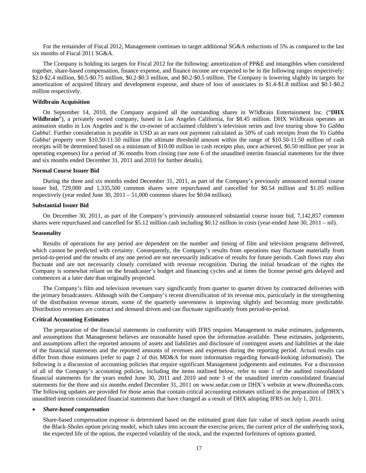For the remainder of Fiscal 2012, Management continues to target additional SG&A reductions of 5% as compared to the last six months of Fiscal 2011 SG&A.

The Company is holding its targets for Fiscal 2012 for the following: amortization of PP&E and intangibles when considered together, share-based compensation, finance expense, and finance income are expected to be in the following ranges respectively: \$2.0-\$2.4 million, \$0.5-\$0.75 million, \$0.2-\$0.3 million, and \$0.2-\$0.5 million. The Company is lowering slightly its targets for amortization of acquired library and development expense, and share of loss of associates to \$1.4-\$1.8 million and \$0.1-\$0.2 million respectively.

#### **Wildbrain Acquisition**

On September 14, 2010, the Company acquired all the outstanding shares in W!ldbrain Entertainment Inc. ("**DHX Wildbrain**"), a privately owned company, based in Los Angeles California, for \$8.45 million. DHX Wildbrain operates an animation studio in Los Angeles and is the co-owner of acclaimed children's television series and live touring show *Yo Gabba Gabba!*. Further consideration is payable in USD as an earn out payment calculated as 50% of cash receipts from the *Yo Gabba Gabba!* property over \$10.50-11.50 million (the ultimate threshold amount within the range of \$10.50-11.50 million of cash receipts will be determined based on a minimum of \$10.00 million in cash receipts plus, once achieved, \$0.50 million per year in operating expenses) for a period of 36 months from closing (see note 6 of the unaudited interim financial statements for the three and six months ended December 31, 2011 and 2010 for further details).

# **Normal Course Issuer Bid**

During the three and six months ended December 31, 2011, as part of the Company's previously announced normal course issuer bid, 729,000 and 1,335,500 common shares were repurchased and cancelled for \$0.54 million and \$1.05 million respectively (year ended June 30, 2011 – 51,000 common shares for \$0.04 million).

#### **Substantial Issuer Bid**

On December 30, 2011, as part of the Company's previously announced substantial course issuer bid, 7,142,857 common shares were repurchased and cancelled for \$5.12 million cash including \$0.12 million in costs (year-ended June 30, 2011 – nil).

#### **Seasonality**

Results of operations for any period are dependent on the number and timing of film and television programs delivered, which cannot be predicted with certainty. Consequently, the Company's results from operations may fluctuate materially from period-to-period and the results of any one period are not necessarily indicative of results for future periods. Cash flows may also fluctuate and are not necessarily closely correlated with revenue recognition. During the initial broadcast of the rights the Company is somewhat reliant on the broadcaster's budget and financing cycles and at times the license period gets delayed and commences at a later date than originally projected.

The Company's film and television revenues vary significantly from quarter to quarter driven by contracted deliveries with the primary broadcasters. Although with the Company's recent diversification of its revenue mix, particularly in the strengthening of the distribution revenue stream, some of the quarterly unevenness is improving slightly and becoming more predictable. Distribution revenues are contract and demand driven and can fluctuate significantly from period-to-period.

#### **Critical Accounting Estimates**

The preparation of the financial statements in conformity with IFRS requires Management to make estimates, judgements, and assumptions that Management believes are reasonable based upon the information available. These estimates, judgements, and assumptions affect the reported amounts of assets and liabilities and disclosure of contingent assets and liabilities at the date of the financial statements and the reported amounts of revenues and expenses during the reporting period. Actual results can differ from those estimates (refer to page 2 of this MD&A for more information regarding forward-looking information). The following is a discussion of accounting policies that require significant Management judgements and estimates. For a discussion of all of the Company's accounting policies, including the items outlined below, refer to note 1 of the audited consolidated financial statements for the years ended June 30, 2011 and 2010 and note 3 of the unaudited interim consolidated financial statements for the three and six months ended December 31, 2011 on www.sedar.com or DHX's website at www.dhxmedia.com. The following updates are provided for those areas that contain critical accounting estimates utilized in the preparation of DHX's unaudited interim consolidated financial statements that have changed as a result of DHX adopting IFRS on July 1, 2011.

#### • *Share-based compensation*

Share-based compensation expense is determined based on the estimated grant date fair value of stock option awards using the Black-Sholes option pricing model, which takes into account the exercise prices, the current price of the underlying stock, the expected life of the option, the expected volatility of the stock, and the expected forfeitures of options granted.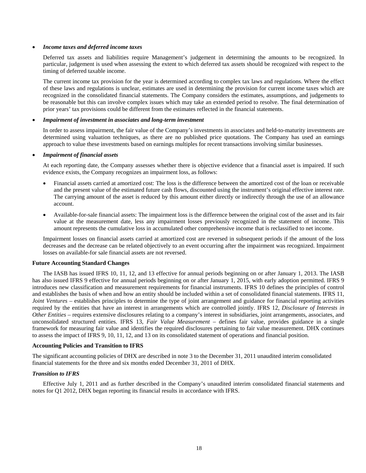#### • *Income taxes and deferred income taxes*

Deferred tax assets and liabilities require Management's judgement in determining the amounts to be recognized. In particular, judgement is used when assessing the extent to which deferred tax assets should be recognized with respect to the timing of deferred taxable income.

The current income tax provision for the year is determined according to complex tax laws and regulations. Where the effect of these laws and regulations is unclear, estimates are used in determining the provision for current income taxes which are recognized in the consolidated financial statements. The Company considers the estimates, assumptions, and judgements to be reasonable but this can involve complex issues which may take an extended period to resolve. The final determination of prior years' tax provisions could be different from the estimates reflected in the financial statements.

#### • *Impairment of investment in associates and long-term investment*

In order to assess impairment, the fair value of the Company's investments in associates and held-to-maturity investments are determined using valuation techniques, as there are no published price quotations. The Company has used an earnings approach to value these investments based on earnings multiples for recent transactions involving similar businesses.

# • *Impairment of financial assets*

At each reporting date, the Company assesses whether there is objective evidence that a financial asset is impaired. If such evidence exists, the Company recognizes an impairment loss, as follows:

- Financial assets carried at amortized cost: The loss is the difference between the amortized cost of the loan or receivable and the present value of the estimated future cash flows, discounted using the instrument's original effective interest rate. The carrying amount of the asset is reduced by this amount either directly or indirectly through the use of an allowance account.
- Available-for-sale financial assets: The impairment loss is the difference between the original cost of the asset and its fair value at the measurement date, less any impairment losses previously recognized in the statement of income. This amount represents the cumulative loss in accumulated other comprehensive income that is reclassified to net income.

Impairment losses on financial assets carried at amortized cost are reversed in subsequent periods if the amount of the loss decreases and the decrease can be related objectively to an event occurring after the impairment was recognized. Impairment losses on available-for sale financial assets are not reversed.

#### **Future Accounting Standard Changes**

The IASB has issued IFRS 10, 11, 12, and 13 effective for annual periods beginning on or after January 1, 2013. The IASB has also issued IFRS 9 effective for annual periods beginning on or after January 1, 2015, with early adoption permitted. IFRS 9 introduces new classification and measurement requirements for financial instruments. IFRS 10 defines the principles of control and establishes the basis of when and how an entity should be included within a set of consolidated financial statements. IFRS 11, *Joint Ventures* – establishes principles to determine the type of joint arrangement and guidance for financial reporting activities required by the entities that have an interest in arrangements which are controlled jointly. IFRS 12, *Disclosure of Interests in Other Entities* – requires extensive disclosures relating to a company's interest in subsidiaries, joint arrangements, associates, and unconsolidated structured entities. IFRS 13, *Fair Value Measurement* – defines fair value, provides guidance in a single framework for measuring fair value and identifies the required disclosures pertaining to fair value measurement. DHX continues to assess the impact of IFRS 9, 10, 11, 12, and 13 on its consolidated statement of operations and financial position.

# **Accounting Policies and Transition to IFRS**

The significant accounting policies of DHX are described in note 3 to the December 31, 2011 unaudited interim consolidated financial statements for the three and six months ended December 31, 2011 of DHX.

#### *Transition to IFRS*

Effective July 1, 2011 and as further described in the Company's unaudited interim consolidated financial statements and notes for Q1 2012, DHX began reporting its financial results in accordance with IFRS.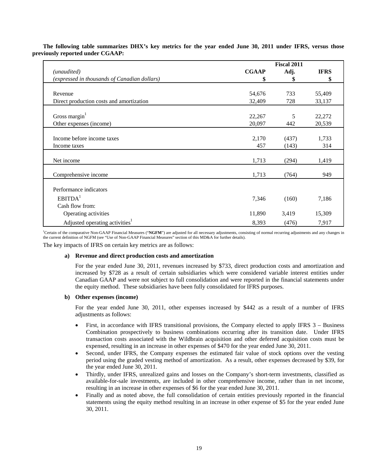| Fiscal 2011                                  |              |       |             |  |
|----------------------------------------------|--------------|-------|-------------|--|
| (unaudited)                                  | <b>CGAAP</b> | Adj.  | <b>IFRS</b> |  |
| (expressed in thousands of Canadian dollars) | \$           | \$    | \$          |  |
|                                              |              |       |             |  |
| Revenue                                      | 54,676       | 733   | 55,409      |  |
| Direct production costs and amortization     | 32,409       | 728   | 33,137      |  |
| Gross margin $1$                             | 22,267       | 5     | 22,272      |  |
| Other expenses (income)                      | 20,097       | 442   | 20,539      |  |
|                                              |              |       |             |  |
| Income before income taxes                   | 2,170        | (437) | 1,733       |  |
| Income taxes                                 | 457          | (143) | 314         |  |
| Net income                                   | 1,713        | (294) | 1,419       |  |
| Comprehensive income                         | 1,713        | (764) | 949         |  |
| Performance indicators                       |              |       |             |  |
| EBITDA <sup>1</sup>                          | 7,346        | (160) | 7,186       |  |
| Cash flow from:                              |              |       |             |  |
| Operating activities                         | 11,890       | 3,419 | 15,309      |  |
| Adjusted operating activities <sup>1</sup>   | 8,393        | (476) | 7,917       |  |

**The following table summarizes DHX's key metrics for the year ended June 30, 2011 under IFRS, versus those previously reported under CGAAP:** 

<sup>1</sup>Certain of the comparative Non-GAAP Financial Measures ("NGFM") are adjusted for all necessary adjustments, consisting of normal recurring adjustments and any changes in the current definition of NGFM (see "Use of Non-GAAP Financial Measures" section of this MD&A for further details).

The key impacts of IFRS on certain key metrics are as follows:

# **a) Revenue and direct production costs and amortization**

For the year ended June 30, 2011, revenues increased by \$733, direct production costs and amortization and increased by \$728 as a result of certain subsidiaries which were considered variable interest entities under Canadian GAAP and were not subject to full consolidation and were reported in the financial statements under the equity method. These subsidiaries have been fully consolidated for IFRS purposes.

# **b) Other expenses (income)**

For the year ended June 30, 2011, other expenses increased by \$442 as a result of a number of IFRS adjustments as follows:

- First, in accordance with IFRS transitional provisions, the Company elected to apply IFRS 3 Business Combination prospectively to business combinations occurring after its transition date. Under IFRS transaction costs associated with the Wildbrain acquisition and other deferred acquisition costs must be expensed, resulting in an increase in other expenses of \$470 for the year ended June 30, 2011.
- Second, under IFRS, the Company expenses the estimated fair value of stock options over the vesting period using the graded vesting method of amortization. As a result, other expenses decreased by \$39, for the year ended June 30, 2011.
- Thirdly, under IFRS, unrealized gains and losses on the Company's short-term investments, classified as available-for-sale investments, are included in other comprehensive income, rather than in net income, resulting in an increase in other expenses of \$6 for the year ended June 30, 2011.
- Finally and as noted above, the full consolidation of certain entities previously reported in the financial statements using the equity method resulting in an increase in other expense of \$5 for the year ended June 30, 2011.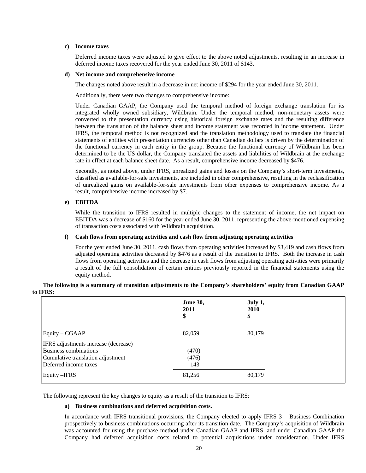#### **c) Income taxes**

Deferred income taxes were adjusted to give effect to the above noted adjustments, resulting in an increase in deferred income taxes recovered for the year ended June 30, 2011 of \$143.

#### **d) Net income and comprehensive income**

The changes noted above result in a decrease in net income of \$294 for the year ended June 30, 2011.

Additionally, there were two changes to comprehensive income:

Under Canadian GAAP, the Company used the temporal method of foreign exchange translation for its integrated wholly owned subsidiary, Wildbrain. Under the temporal method, non-monetary assets were converted to the presentation currency using historical foreign exchange rates and the resulting difference between the translation of the balance sheet and income statement was recorded in income statement. Under IFRS, the temporal method is not recognized and the translation methodology used to translate the financial statements of entities with presentation currencies other than Canadian dollars is driven by the determination of the functional currency in each entity in the group. Because the functional currency of Wildbrain has been determined to be the US dollar, the Company translated the assets and liabilities of Wildbrain at the exchange rate in effect at each balance sheet date. As a result, comprehensive income decreased by \$476.

Secondly, as noted above, under IFRS, unrealized gains and losses on the Company's short-term investments, classified as available-for-sale investments, are included in other comprehensive, resulting in the reclassification of unrealized gains on available-for-sale investments from other expenses to comprehensive income. As a result, comprehensive income increased by \$7.

# **e) EBITDA**

While the transition to IFRS resulted in multiple changes to the statement of income, the net impact on EBITDA was a decrease of \$160 for the year ended June 30, 2011, representing the above-mentioned expensing of transaction costs associated with Wildbrain acquisition.

### **f) Cash flows from operating activities and cash flow from adjusting operating activities**

For the year ended June 30, 2011, cash flows from operating activities increased by \$3,419 and cash flows from adjusted operating activities decreased by \$476 as a result of the transition to IFRS. Both the increase in cash flows from operating activities and the decrease in cash flows from adjusting operating activities were primarily a result of the full consolidation of certain entities previously reported in the financial statements using the equity method.

|                                      | <b>June 30,</b><br>2011<br>\$ | July 1,<br>2010<br>\$ |
|--------------------------------------|-------------------------------|-----------------------|
| $Equity - CGAAP$                     | 82,059                        | 80,179                |
| IFRS adjustments increase (decrease) |                               |                       |
| Business combinations                | (470)                         |                       |
| Cumulative translation adjustment    | (476)                         |                       |
| Deferred income taxes                | 143                           |                       |
| Equity - IFRS                        | 81,256                        | 80,179                |

# **The following is a summary of transition adjustments to the Company's shareholders' equity from Canadian GAAP to IFRS:**

The following represent the key changes to equity as a result of the transition to IFRS:

#### **a) Business combinations and deferred acquisition costs.**

In accordance with IFRS transitional provisions, the Company elected to apply IFRS 3 – Business Combination prospectively to business combinations occurring after its transition date. The Company's acquisition of Wildbrain was accounted for using the purchase method under Canadian GAAP and IFRS, and under Canadian GAAP the Company had deferred acquisition costs related to potential acquisitions under consideration. Under IFRS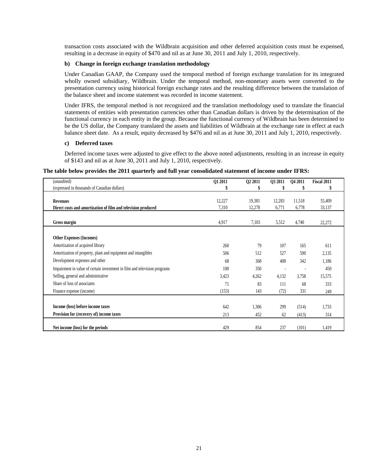transaction costs associated with the Wildbrain acquisition and other deferred acquisition costs must be expensed, resulting in a decrease in equity of \$470 and nil as at June 30, 2011 and July 1, 2010, respectively.

# **b) Change in foreign exchange translation methodology**

Under Canadian GAAP, the Company used the temporal method of foreign exchange translation for its integrated wholly owned subsidiary, Wildbrain. Under the temporal method, non-monetary assets were converted to the presentation currency using historical foreign exchange rates and the resulting difference between the translation of the balance sheet and income statement was recorded in income statement.

Under IFRS, the temporal method is not recognized and the translation methodology used to translate the financial statements of entities with presentation currencies other than Canadian dollars is driven by the determination of the functional currency in each entity in the group. Because the functional currency of Wildbrain has been determined to be the US dollar, the Company translated the assets and liabilities of Wildbrain at the exchange rate in effect at each balance sheet date. As a result, equity decreased by \$476 and nil as at June 30, 2011 and July 1, 2010, respectively.

# **c) Deferred taxes**

Deferred income taxes were adjusted to give effect to the above noted adjustments, resulting in an increase in equity of \$143 and nil as at June 30, 2011 and July 1, 2010, respectively.

# **The table below provides the 2011 quarterly and full year consolidated statement of income under IFRS:**

| Q1 2011 | O <sub>2</sub> 2011 | Q3 2011       | Q4 2011      | Fiscal 2011             |
|---------|---------------------|---------------|--------------|-------------------------|
|         |                     |               |              |                         |
|         |                     |               |              |                         |
| 12,227  | 19,381              | 12,283        | 11,518       | 55,409                  |
|         |                     |               |              | 33,137                  |
|         |                     |               |              |                         |
| 4,917   | 7,103               | 5,512         |              | 22,272                  |
|         |                     |               |              |                         |
|         |                     |               |              |                         |
| 260     | 79                  | 107           | 165          | 611                     |
| 506     | 512                 | 527           | 590          | 2,135                   |
| 68      | 368                 | 408           | 342          | 1,186                   |
| 100     | 350                 |               |              | 450                     |
| 3,423   | 4,262               | 4,132         | 3,758        | 15,575                  |
| 71      | 83                  | 111           | 68           | 333                     |
| (153)   | 143                 | (72)          | 331          | 249                     |
|         |                     |               |              |                         |
| 642     | 1,306               | 299           | (514)        | 1,733                   |
| 213     | 452                 | 62            | (413)        | 314                     |
|         |                     |               |              | 1,419                   |
|         | 7,310<br>429        | 12,278<br>854 | 6,771<br>237 | 6,778<br>4,740<br>(101) |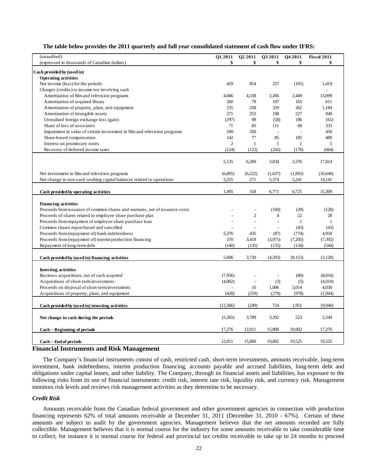#### **The table below provides the 2011 quarterly and full year consolidated statement of cash flow under IFRS:**

| (unaudited)                                                                 | O1 2011        | O <sub>2</sub> 2011 | O3 2011                  | O4 2011        | <b>Fiscal 2011</b> |
|-----------------------------------------------------------------------------|----------------|---------------------|--------------------------|----------------|--------------------|
| (expressed in thousands of Canadian dollars)                                | \$             | \$                  | \$                       | \$             |                    |
|                                                                             |                |                     |                          |                |                    |
| Cash provided by (used in)                                                  |                |                     |                          |                |                    |
| <b>Operating activities</b>                                                 |                |                     |                          |                |                    |
| Net income (loss) for the periods                                           | 429            | 854                 | 237                      | (101)          | 1,419              |
| Charges (credits) to income not involving cash                              |                |                     |                          |                |                    |
| Amortization of film and television programs                                | 4,046          | 4,338               | 2,266                    | 2,449          | 13,099             |
| Amortization of acquired library                                            | 260            | 79                  | 107                      | 165            | 611                |
| Amortization of property, plant, and equipment                              | 235            | 258                 | 329                      | 362            | 1,184              |
| Amortization of intangible assets                                           | 271            | 253                 | 198                      | 227            | 949                |
| Unrealized foreign exchange loss (gain)                                     | (297)          | 98                  | (58)                     | 196            | (61)               |
| Share of loss of associates                                                 | 71             | 83                  | 111                      | 68             | 333                |
| Impairment in value of certain investment in film and television programs   | 100            | 350                 | $\overline{\phantom{a}}$ | $\overline{a}$ | 450                |
| Share-based compensation                                                    | 142            | 77                  | 85                       | 185            | 489                |
| Interest on promissory notes                                                | $\overline{2}$ | $\mathbf{1}$        | $\mathbf{1}$             | $\mathbf{1}$   | 5                  |
| Recovery of deferred income taxes                                           | (124)          | (122)               | (242)                    | (176)          | (664)              |
|                                                                             |                |                     |                          |                |                    |
|                                                                             | 5,135          | 6,269               | 3,034                    | 3,376          | 17,814             |
|                                                                             |                |                     |                          |                |                    |
| Net investment in film and television programs                              | (6,895)        | (6,222)             | (1,637)                  | (1,892)        | (16, 646)          |
| Net change in non-cash working capital balances related to operations       | 3,255          | 271                 | 5,374                    | 5,241          | 14,141             |
|                                                                             |                |                     |                          |                |                    |
| Cash provided by operating activities                                       | 1,495          | 318                 | 6,771                    | 6,725          | 15,309             |
|                                                                             |                |                     |                          |                |                    |
| <b>Financing activities</b>                                                 |                |                     |                          |                |                    |
| Proceeds from issuance of common shares and warrants, net of issuance costs |                | $\overline{a}$      | (100)                    | (20)           | (120)              |
| Proceeds of shares related to employee share purchase plan                  |                | $\overline{c}$      | $\overline{4}$           | 22             | 28                 |
| Proceeds from repayment of employee share purchase loan                     |                | $\overline{a}$      | $\sim$                   | 1              | $\mathbf{1}$       |
| Common shares repurchased and cancelled                                     |                |                     | $\overline{a}$           | (43)           | (43)               |
| Proceeds from (repayment of) bank indebtedness                              | 5,376          | 435                 | (87)                     | (774)          | 4,950              |
| Proceeds from (repayment of) interim production financing                   | 370            | 3,418               | (3,975)                  | (7,205)        | (7,392)            |
| Repayment of long-term debt                                                 | (140)          | (135)               | (135)                    | (134)          | (544)              |
|                                                                             |                |                     |                          |                |                    |
| Cash provided by (used in) financing activities                             | 5,606          | 3,720               | (4,293)                  | (8,153)        | (3,120)            |
|                                                                             |                |                     |                          |                |                    |
| <b>Investing activities</b>                                                 |                |                     |                          |                |                    |
| Business acquisitions, net of cash acquired                                 | (7,936)        |                     |                          | (80)           | (8,016)            |
| Acquisitions of short-term investments                                      | (4,002)        |                     | (3)                      | (5)            | (4,010)            |
| Proceeds on disposal of short-term investments                              |                | 10                  | 1,006                    | 3,014          | 4,030              |
| Acquisitions of property, plant, and equipment                              | (428)          | (259)               | (279)                    | (978)          | (1,944)            |
|                                                                             |                |                     |                          |                |                    |
| Cash provided by (used in) investing activities                             | (12,366)       | (249)               | 724                      | 1,951          | (9,940)            |
|                                                                             |                |                     |                          |                |                    |
| Net change in cash during the periods                                       | (5,265)        | 3,789               | 3,202                    | 523            | 2,249              |
|                                                                             |                |                     |                          |                |                    |
| Cash – Beginning of periods                                                 | 17,276         | 12,011              | 15,800                   | 19,002         | 17,276             |
|                                                                             |                |                     |                          |                |                    |
| Cash - End of periods                                                       | 12,011         | 15,800              | 19,002                   | 19,525         | 19,525             |

# **Financial Instruments and Risk Management**

The Company's financial instruments consist of cash, restricted cash, short-term investments, amounts receivable, long-term investment, bank indebtedness, interim production financing, accounts payable and accrued liabilities, long-term debt and obligations under capital leases, and other liability. The Company, through its financial assets and liabilities, has exposure to the following risks from its use of financial instruments: credit risk, interest rate risk, liquidity risk, and currency risk. Management monitors risk levels and reviews risk management activities as they determine to be necessary.

# *Credit Risk*

Amounts receivable from the Canadian federal government and other government agencies in connection with production financing represents 62% of total amounts receivable at December 31, 2011 (December 31, 2010 - 67%). Certain of these amounts are subject to audit by the government agencies. Management believes that the net amounts recorded are fully collectible. Management believes that it is normal course for the industry for some amounts receivable to take considerable time to collect; for instance it is normal course for federal and provincial tax credits receivable to take up to 24 months to proceed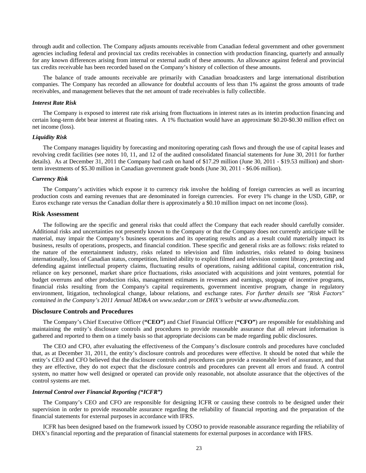through audit and collection. The Company adjusts amounts receivable from Canadian federal government and other government agencies including federal and provincial tax credits receivables in connection with production financing, quarterly and annually for any known differences arising from internal or external audit of these amounts. An allowance against federal and provincial tax credits receivable has been recorded based on the Company's history of collection of these amounts.

The balance of trade amounts receivable are primarily with Canadian broadcasters and large international distribution companies. The Company has recorded an allowance for doubtful accounts of less than 1% against the gross amounts of trade receivables, and management believes that the net amount of trade receivables is fully collectible.

#### *Interest Rate Risk*

The Company is exposed to interest rate risk arising from fluctuations in interest rates as its interim production financing and certain long-term debt bear interest at floating rates. A 1% fluctuation would have an approximate \$0.20-\$0.30 million effect on net income (loss).

# *Liquidity Risk*

The Company manages liquidity by forecasting and monitoring operating cash flows and through the use of capital leases and revolving credit facilities (see notes 10, 11, and 12 of the audited consolidated financial statements for June 30, 2011 for further details). As at December 31, 2011 the Company had cash on hand of \$17.29 million (June 30, 2011 - \$19.53 million) and shortterm investments of \$5.30 million in Canadian government grade bonds (June 30, 2011 - \$6.06 million).

#### *Currency Risk*

The Company's activities which expose it to currency risk involve the holding of foreign currencies as well as incurring production costs and earning revenues that are denominated in foreign currencies. For every 1% change in the USD, GBP, or Euros exchange rate versus the Canadian dollar there is approximately a \$0.10 million impact on net income (loss).

#### **Risk Assessment**

The following are the specific and general risks that could affect the Company that each reader should carefully consider. Additional risks and uncertainties not presently known to the Company or that the Company does not currently anticipate will be material, may impair the Company's business operations and its operating results and as a result could materially impact its business, results of operations, prospects, and financial condition. These specific and general risks are as follows: risks related to the nature of the entertainment industry, risks related to television and film industries, risks related to doing business internationally, loss of Canadian status, competition, limited ability to exploit filmed and television content library, protecting and defending against intellectual property claims, fluctuating results of operations, raising additional capital, concentration risk, reliance on key personnel, market share price fluctuations, risks associated with acquisitions and joint ventures, potential for budget overruns and other production risks, management estimates in revenues and earnings, stoppage of incentive programs, financial risks resulting from the Company's capital requirements, government incentive program, change in regulatory environment, litigation, technological change, labour relations, and exchange rates. *For further details see "Risk Factors" contained in the Company's 2011 Annual MD&A on www.sedar.com or DHX's website at www.dhxmedia.com.* 

### **Disclosure Controls and Procedures**

The Company's Chief Executive Officer (**"CEO"**) and Chief Financial Officer (**"CFO"**) are responsible for establishing and maintaining the entity's disclosure controls and procedures to provide reasonable assurance that all relevant information is gathered and reported to them on a timely basis so that appropriate decisions can be made regarding public disclosures.

The CEO and CFO, after evaluating the effectiveness of the Company's disclosure controls and procedures have concluded that, as at December 31, 2011, the entity's disclosure controls and procedures were effective. It should be noted that while the entity's CEO and CFO believed that the disclosure controls and procedures can provide a reasonable level of assurance, and that they are effective, they do not expect that the disclosure controls and procedures can prevent all errors and fraud. A control system, no matter how well designed or operated can provide only reasonable, not absolute assurance that the objectives of the control systems are met.

#### *Internal Control over Financial Reporting ("ICFR")*

The Company's CEO and CFO are responsible for designing ICFR or causing these controls to be designed under their supervision in order to provide reasonable assurance regarding the reliability of financial reporting and the preparation of the financial statements for external purposes in accordance with IFRS.

ICFR has been designed based on the framework issued by COSO to provide reasonable assurance regarding the reliability of DHX's financial reporting and the preparation of financial statements for external purposes in accordance with IFRS.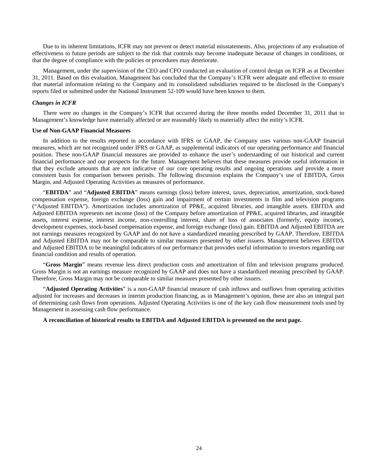Due to its inherent limitations, ICFR may not prevent or detect material misstatements. Also, projections of any evaluation of effectiveness to future periods are subject to the risk that controls may become inadequate because of changes in conditions, or that the degree of compliance with the policies or procedures may deteriorate.

Management, under the supervision of the CEO and CFO conducted an evaluation of control design on ICFR as at December 31, 2011. Based on this evaluation, Management has concluded that the Company's ICFR were adequate and effective to ensure that material information relating to the Company and its consolidated subsidiaries required to be disclosed in the Company's reports filed or submitted under the National Instrument 52-109 would have been known to them.

#### *Changes in ICFR*

There were no changes in the Company's ICFR that occurred during the three months ended December 31, 2011 that to Management's knowledge have materially affected or are reasonably likely to materially affect the entity's ICFR.

#### **Use of Non-GAAP Financial Measures**

In addition to the results reported in accordance with IFRS or GAAP, the Company uses various non-GAAP financial measures, which are not recognized under IFRS or GAAP, as supplemental indicators of our operating performance and financial position. These non-GAAP financial measures are provided to enhance the user's understanding of our historical and current financial performance and our prospects for the future. Management believes that these measures provide useful information in that they exclude amounts that are not indicative of our core operating results and ongoing operations and provide a more consistent basis for comparison between periods. The following discussion explains the Company's use of EBITDA, Gross Margin, and Adjusted Operating Activities as measures of performance.

"**EBITDA**" and "**Adjusted EBITDA**" means earnings (loss) before interest, taxes, depreciation, amortization, stock-based compensation expense, foreign exchange (loss) gain and impairment of certain investments in film and television programs ("Adjusted EBITDA"). Amortization includes amortization of PP&E, acquired libraries, and intangible assets. EBITDA and Adjusted EBITDA represents net income (loss) of the Company before amortization of PP&E, acquired libraries, and intangible assets, interest expense, interest income, non-controlling interest, share of loss of associates (formerly, equity income), development expenses, stock-based compensation expense, and foreign exchange (loss) gain. EBITDA and Adjusted EBITDA are not earnings measures recognized by GAAP and do not have a standardized meaning prescribed by GAAP. Therefore, EBITDA and Adjusted EBITDA may not be comparable to similar measures presented by other issuers. Management believes EBITDA and Adjusted EBITDA to be meaningful indicators of our performance that provides useful information to investors regarding our financial condition and results of operation.

"**Gross Margin**" means revenue less direct production costs and amortization of film and television programs produced. Gross Margin is not an earnings measure recognized by GAAP and does not have a standardized meaning prescribed by GAAP. Therefore, Gross Margin may not be comparable to similar measures presented by other issuers.

"**Adjusted Operating Activities**" is a non-GAAP financial measure of cash inflows and outflows from operating activities adjusted for increases and decreases in interim production financing, as in Management's opinion, these are also an integral part of determining cash flows from operations. Adjusted Operating Activities is one of the key cash flow measurement tools used by Management in assessing cash flow performance.

#### **A reconciliation of historical results to EBITDA and Adjusted EBITDA is presented on the next page.**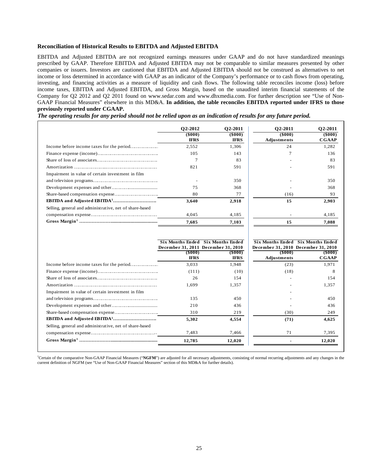### **Reconciliation of Historical Results to EBITDA and Adjusted EBITDA**

EBITDA and Adjusted EBITDA are not recognized earnings measures under GAAP and do not have standardized meanings prescribed by GAAP. Therefore EBITDA and Adjusted EBITDA may not be comparable to similar measures presented by other companies or issuers. Investors are cautioned that EBITDA and Adjusted EBITDA should not be construed as alternatives to net income or loss determined in accordance with GAAP as an indicator of the Company's performance or to cash flows from operating, investing, and financing activities as a measure of liquidity and cash flows. The following table reconciles income (loss) before income taxes, EBITDA and Adjusted EBITDA, and Gross Margin, based on the unaudited interim financial statements of the Company for Q2 2012 and Q2 2011 found on www.sedar.com and www.dhxmedia.com. For further description see "Use of Non-GAAP Financial Measures" elsewhere in this MD&A. **In addition, the table reconciles EBITDA reported under IFRS to those previously reported under CGAAP.**

*The operating results for any period should not be relied upon as an indication of results for any future period.*

|                                                         | <b>O2-2012</b><br>(5000)<br><b>IFRS</b> | O2-2011<br>$($ \$000 $)$<br><b>IFRS</b> | O <sub>2</sub> -2011<br>$($ \$000 $)$<br>Adjustments | <b>O2-2011</b><br>$($ \$000 $)$<br><b>CGAAP</b> |
|---------------------------------------------------------|-----------------------------------------|-----------------------------------------|------------------------------------------------------|-------------------------------------------------|
|                                                         | 2,552                                   | 1,306                                   | 24                                                   | 1,282                                           |
|                                                         | 105                                     | 143                                     |                                                      | 136                                             |
|                                                         | $\overline{7}$                          | 83                                      |                                                      | 83                                              |
|                                                         | 821                                     | 591                                     |                                                      | 591                                             |
| Impairment in value of certain investment in film       |                                         |                                         |                                                      |                                                 |
|                                                         |                                         | 350                                     |                                                      | 350                                             |
|                                                         | 75                                      | 368                                     |                                                      | 368                                             |
|                                                         | 80                                      | 77                                      | (16)                                                 | 93                                              |
|                                                         | 3,640                                   | 2,918                                   | 15                                                   | 2,903                                           |
| Selling, general and administrative, net of share-based |                                         |                                         |                                                      |                                                 |
|                                                         | 4.045                                   | 4,185                                   |                                                      | 4,185                                           |
|                                                         | 7,685                                   | 7,103                                   | 15                                                   | 7,088                                           |

|                                                         | December 31, 2011 December 31, 2010 | Six Months Ended Six Months Ended | December 31, 2010 December 31, 2010 | Six Months Ended Six Months Ended |
|---------------------------------------------------------|-------------------------------------|-----------------------------------|-------------------------------------|-----------------------------------|
|                                                         | $($ \$000 $)$<br><b>IFRS</b>        | $($ \$000 $)$<br><b>IFRS</b>      | (\$000)<br>Adjustments              | $($ \$000 $)$<br><b>CGAAP</b>     |
|                                                         | 3,033                               | 1,948                             | (23)                                | 1,971                             |
|                                                         | (111)                               | (10)                              | (18)                                | 8                                 |
|                                                         | 26                                  | 154                               |                                     | 154                               |
|                                                         | 1.699                               | 1,357                             |                                     | 1,357                             |
| Impairment in value of certain investment in film       |                                     |                                   |                                     |                                   |
|                                                         | 135                                 | 450                               |                                     | 450                               |
|                                                         | 210                                 | 436                               |                                     | 436                               |
|                                                         | 310                                 | 219                               | (30)                                | 249                               |
|                                                         | 5,302                               | 4,554                             | (71)                                | 4,625                             |
| Selling, general and administrative, net of share-based |                                     |                                   |                                     |                                   |
|                                                         | 7,483                               | 7,466                             | 71                                  | 7,395                             |
|                                                         | 12,785                              | 12,020                            |                                     | 12.020                            |

<sup>1</sup>Certain of the comparative Non-GAAP Financial Measures ("NGFM") are adjusted for all necessary adjustments, consisting of normal recurring adjustments and any changes in the current definition of NGFM (see "Use of Non-GAAP Financial Measures" section of this MD&A for further details).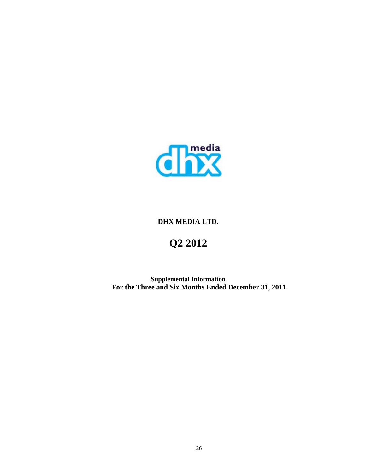

# **DHX MEDIA LTD.**

# **Q2 2012**

**Supplemental Information For the Three and Six Months Ended December 31, 2011**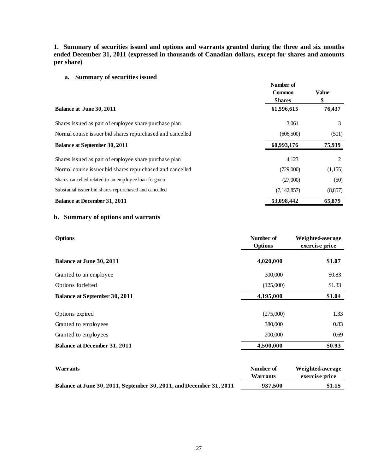**1. Summary of securities issued and options and warrants granted during the three and six months ended December 31, 2011 (expressed in thousands of Canadian dollars, except for shares and amounts per share)** 

# **a. Summary of securities issued**

|                                                           | Number of<br><b>Common</b><br><b>Shares</b> | <b>Value</b><br>\$ |  |
|-----------------------------------------------------------|---------------------------------------------|--------------------|--|
| Balance at June 30, 2011                                  | 61,596,615                                  | 76,437             |  |
| Shares issued as part of employee share purchase plan     | 3,061                                       | 3                  |  |
| Normal course issuer bid shares repurchased and cancelled | (606, 500)                                  | (501)              |  |
| <b>Balance at September 30, 2011</b>                      | 60,993,176                                  | 75,939             |  |
| Shares issued as part of employee share purchase plan     | 4,123                                       | 2                  |  |
| Normal course issuer bid shares repurchased and cancelled | (729,000)                                   | (1,155)            |  |
| Shares cancelled related to an employee loan forgiven     | (27,000)                                    | (50)               |  |
| Substanial issuer bid shares repurchased and cancelled    | (7,142,857)                                 | (8, 857)           |  |
| <b>Balance at December 31, 2011</b>                       | 53,098,442                                  | 65,879             |  |

# **b. Summary of options and warrants**

| Options                                                             | Number of<br><b>Options</b> | Weighted-average<br>exercise price |
|---------------------------------------------------------------------|-----------------------------|------------------------------------|
| <b>Balance at June 30, 2011</b>                                     | 4,020,000                   | \$1.07                             |
| Granted to an employee                                              | 300,000                     | \$0.83                             |
| Options forfeited                                                   | (125,000)                   | \$1.33                             |
| <b>Balance at September 30, 2011</b>                                | 4,195,000                   | \$1.04                             |
| Options expired                                                     | (275,000)                   | 1.33                               |
| Granted to employees                                                | 380,000                     | 0.83                               |
| Granted to employees                                                | 200,000                     | 0.69                               |
| <b>Balance at December 31, 2011</b>                                 | 4,500,000                   | \$0.93                             |
| <b>Warrants</b>                                                     | Number of<br>Warrants       | Weighted-average<br>exercise price |
| Balance at June 30, 2011, September 30, 2011, and December 31, 2011 | 937,500                     | \$1.15                             |